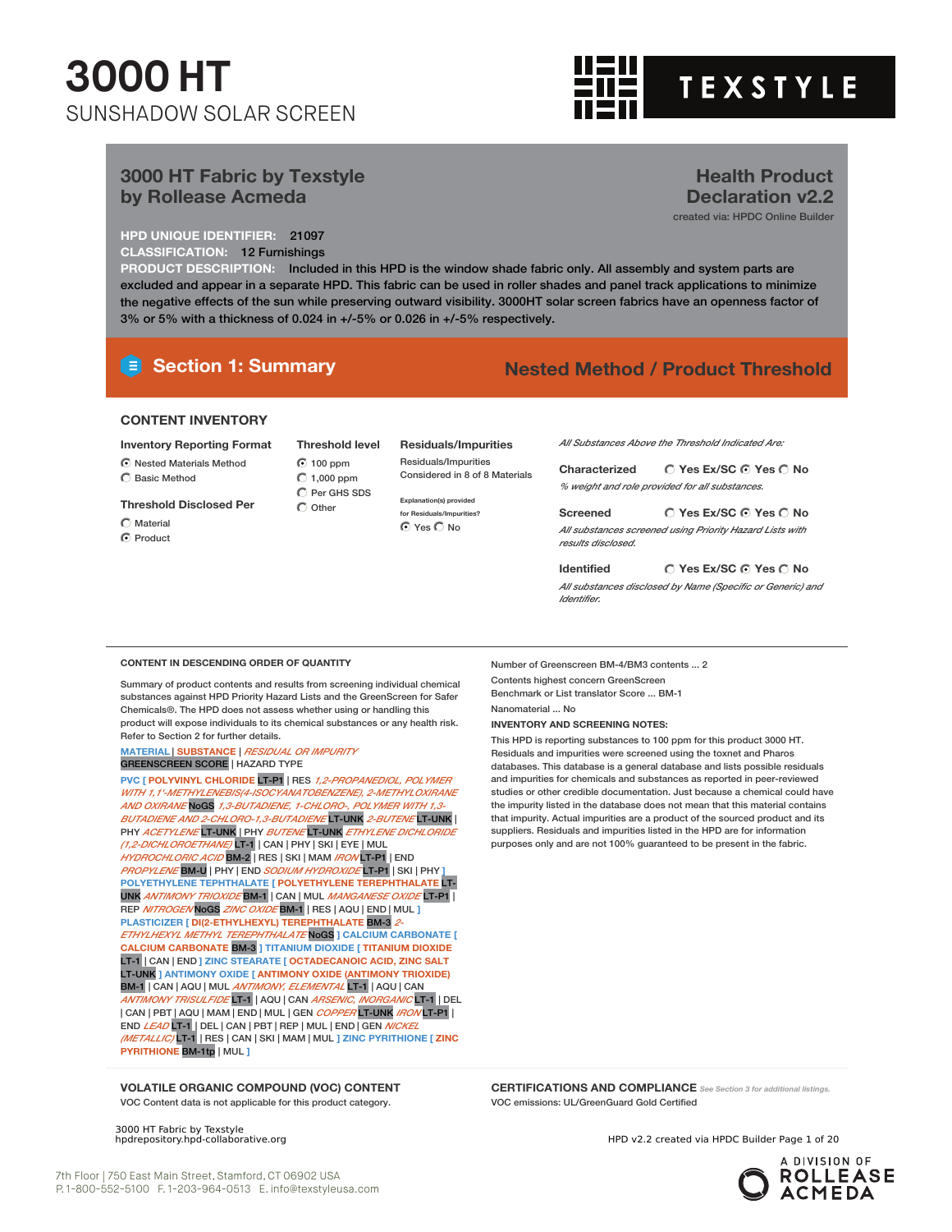

**Health Product Declaration v2.2** created via: HPDC Online Builder

#### **3000 HT Fabric by Texstyle by Rollease Acmeda**

**HPD UNIQUE IDENTIFIER:** 21097

**CLASSIFICATION:** 12 Furnishings

**PRODUCT DESCRIPTION:** Included in this HPD is the window shade fabric only. All assembly and system parts are excluded and appear in a separate HPD. This fabric can be used in roller shades and panel track applications to minimize the negative effects of the sun while preserving outward visibility. 3000HT solar screen fabrics have an openness factor of 3% or 5% with a thickness of 0.024 in +/-5% or 0.026 in +/-5% respectively.

#### **Section 1: Summary Nested Method / Product Threshold**

#### **CONTENT INVENTORY**

**Inventory Reporting Format**

- Nested Materials Method
- Basic Method

**Threshold Disclosed Per**

- $\bigcirc$  Material ⊙ Product
- 100 ppm  $\bigcirc$  1,000 ppm C Per GHS SDS  $\bigcap$  Other

**Threshold level**

#### **Residuals/Impurities**

Residuals/Impurities Considered in 8 of 8 Materials

**Explanation(s) provided for Residuals/Impurities?** O Yes O No

*All Substances Above the Threshold Indicated Are:*

**Yes Ex/SC Yes No Characterized** *% weight and role provided for all substances.*

**Yes Ex/SC Yes No Screened** *All substances screened using Priority Hazard Lists with results disclosed.*

**Yes Ex/SC Yes No Identified** *All substances disclosed by Name (Specific or Generic) and Identifier.*

#### **CONTENT IN DESCENDING ORDER OF QUANTITY**

Summary of product contents and results from screening individual chemical substances against HPD Priority Hazard Lists and the GreenScreen for Safer Chemicals®. The HPD does not assess whether using or handling this product will expose individuals to its chemical substances or any health risk. Refer to Section 2 for further details.

**MATERIAL** | **SUBSTANCE** | *RESIDUAL OR IMPURITY* GREENSCREEN SCORE | HAZARD TYPE

**PVC [ POLYVINYL CHLORIDE** LT-P1 | RES *1,2-PROPANEDIOL, POLYMER WITH 1,1'-METHYLENEBIS(4-ISOCYANATOBENZENE), 2-METHYLOXIRANE AND OXIRANE* NoGS *1,3-BUTADIENE, 1-CHLORO-, POLYMER WITH 1,3- BUTADIENE AND 2-CHLORO-1,3-BUTADIENE* LT-UNK *2-BUTENE* LT-UNK | PHY *ACETYLENE* LT-UNK | PHY *BUTENE* LT-UNK *ETHYLENE DICHLORIDE (1,2-DICHLOROETHANE)* LT-1 | CAN | PHY | SKI | EYE | MUL *HYDROCHLORIC ACID* BM-2 | RES | SKI | MAM *IRON* LT-P1 | END *PROPYLENE* BM-U | PHY | END *SODIUM HYDROXIDE* LT-P1 | SKI | PHY **] POLYETHYLENE TEPHTHALATE [ POLYETHYLENE TEREPHTHALATE** LT-UNK *ANTIMONY TRIOXIDE* BM-1 | CAN | MUL *MANGANESE OXIDE* LT-P1 | REP *NITROGEN* NoGS *ZINC OXIDE* BM-1 | RES | AQU | END | MUL **] PLASTICIZER [ DI(2-ETHYLHEXYL) TEREPHTHALATE** BM-3 *2- ETHYLHEXYL METHYL TEREPHTHALATE* NoGS **] CALCIUM CARBONATE [ CALCIUM CARBONATE** BM-3 **] TITANIUM DIOXIDE [ TITANIUM DIOXIDE** LT-1 | CAN | END **] ZINC STEARATE [ OCTADECANOIC ACID, ZINC SALT** LT-UNK **] ANTIMONY OXIDE [ ANTIMONY OXIDE (ANTIMONY TRIOXIDE)** BM-1 | CAN | AQU | MUL *ANTIMONY, ELEMENTAL* LT-1 | AQU | CAN *ANTIMONY TRISULFIDE* LT-1 | AQU | CAN *ARSENIC, INORGANIC* LT-1 | DEL | CAN | PBT | AQU | MAM | END | MUL | GEN *COPPER* LT-UNK *IRON* LT-P1 | END *LEAD* LT-1 | DEL | CAN | PBT | REP | MUL | END | GEN *NICKEL (METALLIC)* LT-1 | RES | CAN | SKI | MAM | MUL **] ZINC PYRITHIONE [ ZINC PYRITHIONE** BM-1tp | MUL **]**

Number of Greenscreen BM-4/BM3 contents ... 2 Contents highest concern GreenScreen Benchmark or List translator Score ... BM-1

Nanomaterial ... No

**INVENTORY AND SCREENING NOTES:**

This HPD is reporting substances to 100 ppm for this product 3000 HT. Residuals and impurities were screened using the toxnet and Pharos databases. This database is a general database and lists possible residuals and impurities for chemicals and substances as reported in peer-reviewed studies or other credible documentation. Just because a chemical could have the impurity listed in the database does not mean that this material contains that impurity. Actual impurities are a product of the sourced product and its suppliers. Residuals and impurities listed in the HPD are for information purposes only and are not 100% guaranteed to be present in the fabric.

**VOLATILE ORGANIC COMPOUND (VOC) CONTENT** VOC Content data is not applicable for this product category.

3000 HT Fabric by Texstyle<br>hpdrepository.hpd-collaborative.org

**CERTIFICATIONS AND COMPLIANCE** *See Section <sup>3</sup> for additional listings.* VOC emissions: UL/GreenGuard Gold Certified

HPD v2.2 created via HPDC Builder Page 1 of 20

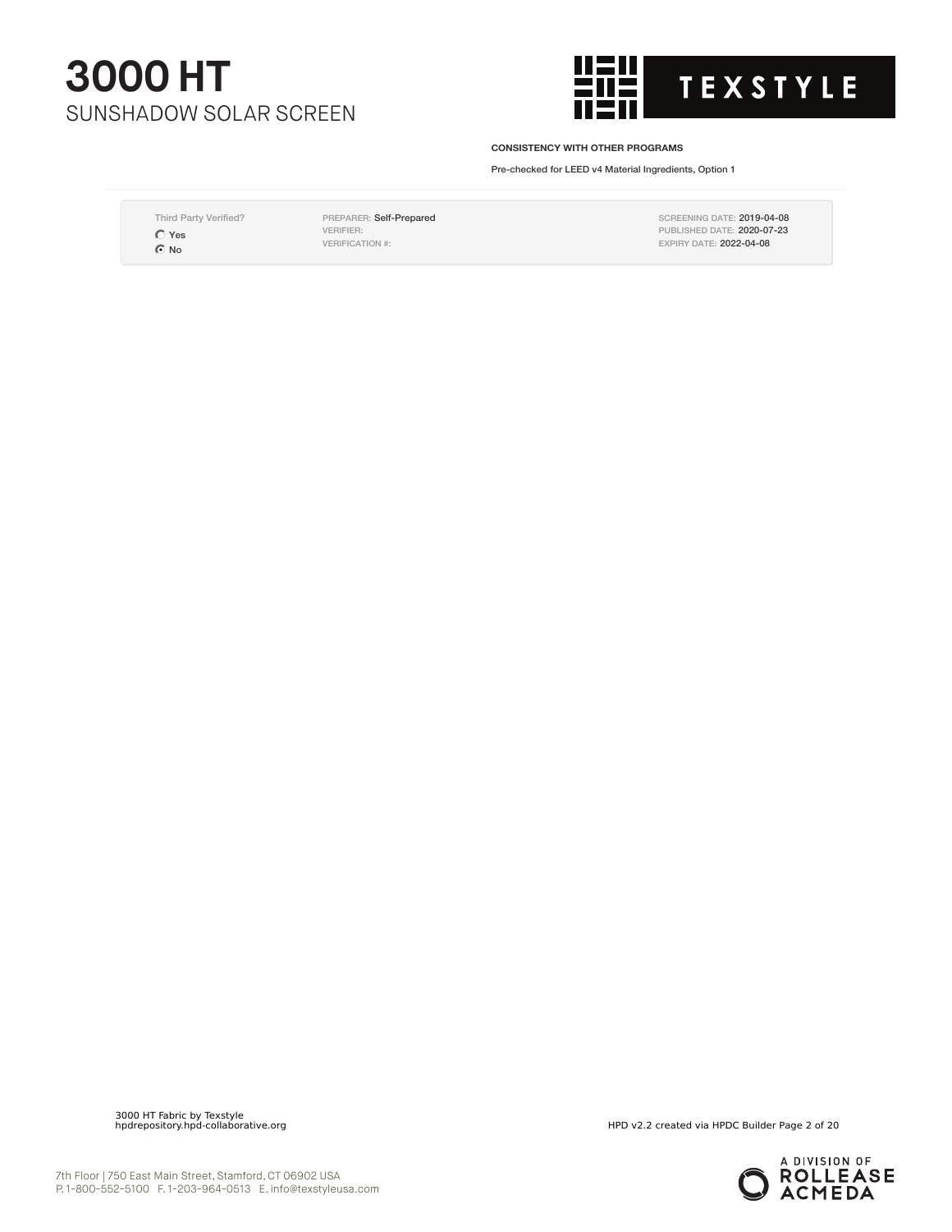

#### **CONSISTENCY WITH OTHER PROGRAMS**

Pre-checked for LEED v4 Material Ingredients, Option 1

Third Party Verified? Yes  $\bullet$ No

PREPARER: Self-Prepared VERIFIER: VERIFICATION #:

SCREENING DATE: 2019-04-08 PUBLISHED DATE: 2020-07-23 EXPIRY DATE: 2022-04-08

3000 HT Fabric by Texstyle

HPD v2.2 created via HPDC Builder Page 2 of 20

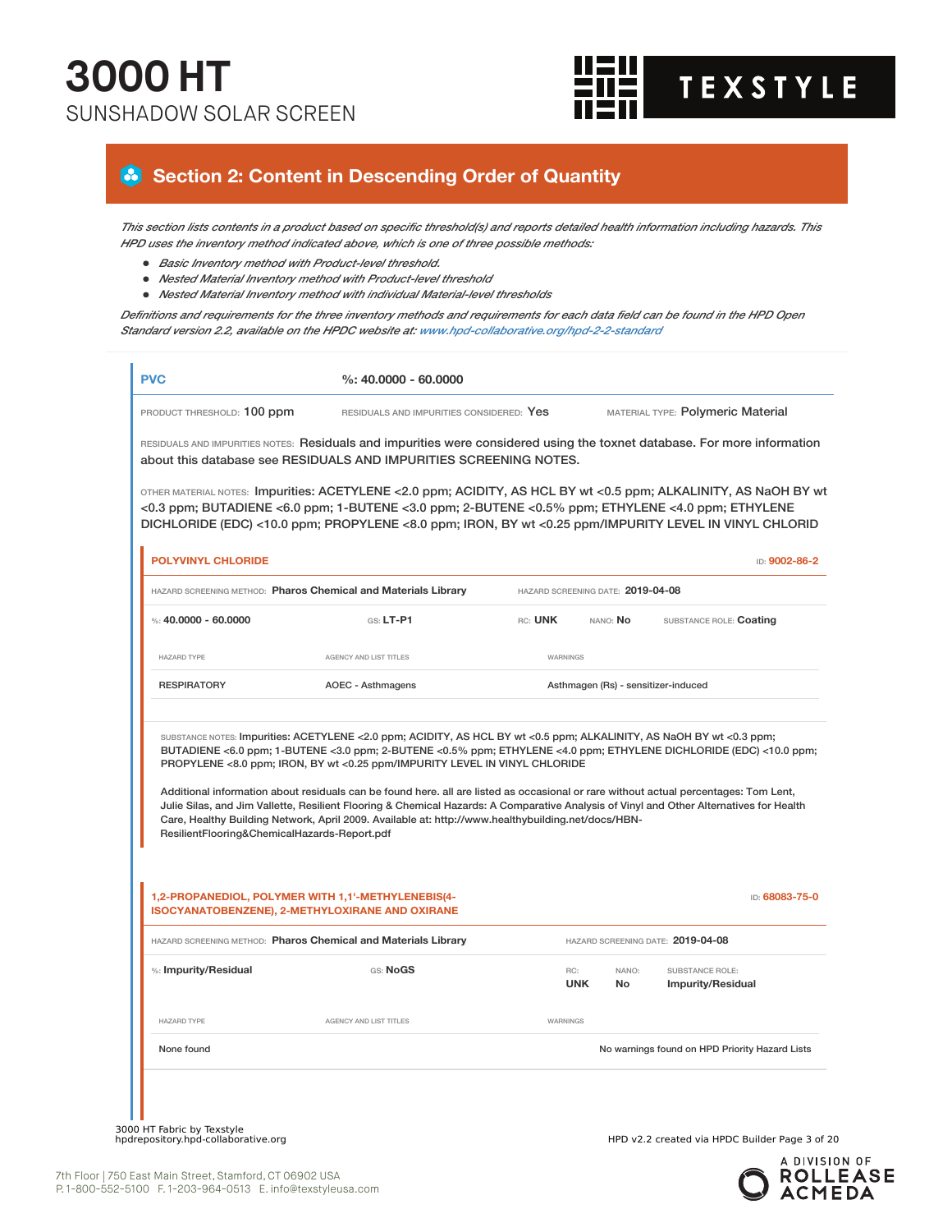

### **Section 2: Content in Descending Order of Quantity**

This section lists contents in a product based on specific threshold(s) and reports detailed health information including hazards. This *HPD uses the inventory method indicated above, which is one of three possible methods:*

- *Basic Inventory method with Product-level threshold.*
- *Nested Material Inventory method with Product-level threshold*
- *Nested Material Inventory method with individual Material-level thresholds*

Definitions and requirements for the three inventory methods and requirements for each data field can be found in the HPD Open *Standard version 2.2, available on the HPDC website at: www.hpd-collaborative.org/hpd-2-2-standard*

| PRODUCT THRESHOLD: 100 ppm                   | RESIDUALS AND IMPURITIES CONSIDERED: Yes                                                                                                                                                                                                                                                                                                                      |                                   |              | MATERIAL TYPE: Polymeric Material                                                                                  |
|----------------------------------------------|---------------------------------------------------------------------------------------------------------------------------------------------------------------------------------------------------------------------------------------------------------------------------------------------------------------------------------------------------------------|-----------------------------------|--------------|--------------------------------------------------------------------------------------------------------------------|
|                                              | RESIDUALS AND IMPURITIES NOTES: Residuals and impurities were considered using the toxnet database. For more information<br>about this database see RESIDUALS AND IMPURITIES SCREENING NOTES.                                                                                                                                                                 |                                   |              |                                                                                                                    |
|                                              | OTHER MATERIAL NOTES: Impurities: ACETYLENE <2.0 ppm; ACIDITY, AS HCL BY wt <0.5 ppm; ALKALINITY, AS NaOH BY wt<br><0.3 ppm; BUTADIENE <6.0 ppm; 1-BUTENE <3.0 ppm; 2-BUTENE <0.5% ppm; ETHYLENE <4.0 ppm; ETHYLENE<br>DICHLORIDE (EDC) <10.0 ppm; PROPYLENE <8.0 ppm; IRON, BY wt <0.25 ppm/IMPURITY LEVEL IN VINYL CHLORID                                  |                                   |              |                                                                                                                    |
| <b>POLYVINYL CHLORIDE</b>                    |                                                                                                                                                                                                                                                                                                                                                               |                                   |              | ID: 9002-86-2                                                                                                      |
|                                              | HAZARD SCREENING METHOD: Pharos Chemical and Materials Library                                                                                                                                                                                                                                                                                                | HAZARD SCREENING DATE: 2019-04-08 |              |                                                                                                                    |
| %: $40.0000 - 60.0000$                       | $G.S. LT-P1$                                                                                                                                                                                                                                                                                                                                                  | RC: UNK                           | NANO: No     | SUBSTANCE ROLE: Coating                                                                                            |
| <b>HAZARD TYPE</b>                           | AGENCY AND LIST TITLES                                                                                                                                                                                                                                                                                                                                        | WARNINGS                          |              |                                                                                                                    |
| <b>RESPIRATORY</b>                           | <b>AOEC - Asthmagens</b>                                                                                                                                                                                                                                                                                                                                      |                                   |              | Asthmagen (Rs) - sensitizer-induced                                                                                |
|                                              | PROPYLENE <8.0 ppm; IRON, BY wt <0.25 ppm/IMPURITY LEVEL IN VINYL CHLORIDE<br>Additional information about residuals can be found here. all are listed as occasional or rare without actual percentages: Tom Lent,<br>Julie Silas, and Jim Vallette, Resilient Flooring & Chemical Hazards: A Comparative Analysis of Vinyl and Other Alternatives for Health |                                   |              | BUTADIENE <6.0 ppm; 1-BUTENE <3.0 ppm; 2-BUTENE <0.5% ppm; ETHYLENE <4.0 ppm; ETHYLENE DICHLORIDE (EDC) <10.0 ppm; |
| ResilientFlooring&ChemicalHazards-Report.pdf | Care, Healthy Building Network, April 2009. Available at: http://www.healthybuilding.net/docs/HBN-<br>1,2-PROPANEDIOL, POLYMER WITH 1,1'-METHYLENEBIS(4-                                                                                                                                                                                                      |                                   |              | ID: 68083-75-0                                                                                                     |
|                                              | <b>ISOCYANATOBENZENE), 2-METHYLOXIRANE AND OXIRANE</b><br>HAZARD SCREENING METHOD: Pharos Chemical and Materials Library                                                                                                                                                                                                                                      |                                   |              | HAZARD SCREENING DATE: 2019-04-08                                                                                  |
| %: Impurity/Residual                         | GS: NoGS                                                                                                                                                                                                                                                                                                                                                      | RC:<br><b>UNK</b>                 | NANO:<br>No. | SUBSTANCE ROLE:<br><b>Impurity/Residual</b>                                                                        |
| <b>HAZARD TYPE</b>                           | AGENCY AND LIST TITLES                                                                                                                                                                                                                                                                                                                                        | WARNINGS                          |              |                                                                                                                    |
| None found                                   |                                                                                                                                                                                                                                                                                                                                                               |                                   |              | No warnings found on HPD Priority Hazard Lists                                                                     |

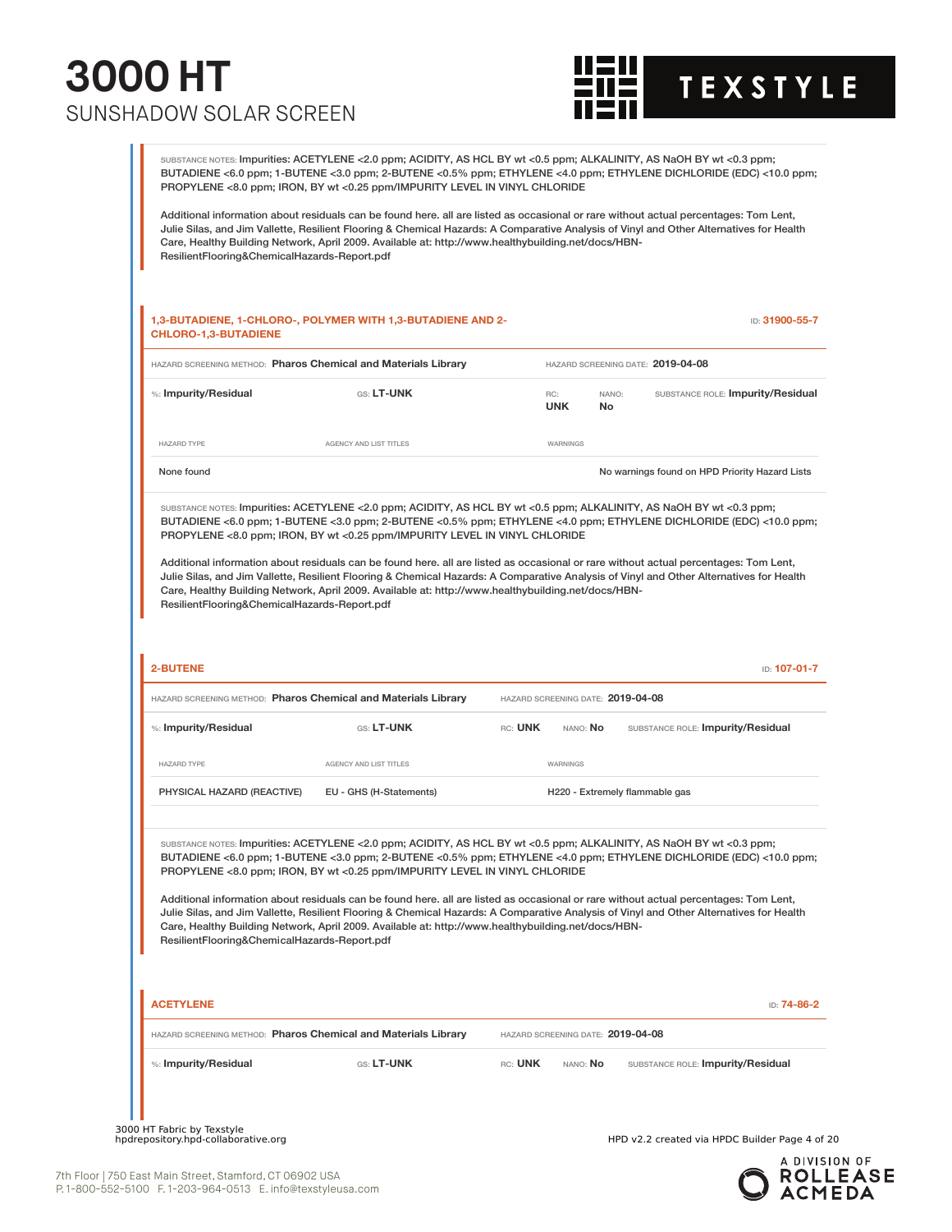

SUBSTANCE NOTES: Impurities: ACETYLENE <2.0 ppm; ACIDITY, AS HCL BY wt <0.5 ppm; ALKALINITY, AS NaOH BY wt <0.3 ppm; BUTADIENE <6.0 ppm; 1-BUTENE <3.0 ppm; 2-BUTENE <0.5% ppm; ETHYLENE <4.0 ppm; ETHYLENE DICHLORIDE (EDC) <10.0 ppm; PROPYLENE <8.0 ppm; IRON, BY wt <0.25 ppm/IMPURITY LEVEL IN VINYL CHLORIDE

Additional information about residuals can be found here. all are listed as occasional or rare without actual percentages: Tom Lent, Julie Silas, and Jim Vallette, Resilient Flooring & Chemical Hazards: A Comparative Analysis of Vinyl and Other Alternatives for Health Care, Healthy Building Network, April 2009. Available at: http://www.healthybuilding.net/docs/HBN-ResilientFlooring&ChemicalHazards-Report.pdf

|                                              | HAZARD SCREENING METHOD: Pharos Chemical and Materials Library                                                                                                                                                                                                                                                                                                                                                                                                                                                                                                                                                                                                                                                    |                                   |             | HAZARD SCREENING DATE: 2019-04-08              |             |
|----------------------------------------------|-------------------------------------------------------------------------------------------------------------------------------------------------------------------------------------------------------------------------------------------------------------------------------------------------------------------------------------------------------------------------------------------------------------------------------------------------------------------------------------------------------------------------------------------------------------------------------------------------------------------------------------------------------------------------------------------------------------------|-----------------------------------|-------------|------------------------------------------------|-------------|
| %: Impurity/Residual                         | GS: LT-UNK                                                                                                                                                                                                                                                                                                                                                                                                                                                                                                                                                                                                                                                                                                        | RC:<br><b>UNK</b>                 | NANO:<br>No | SUBSTANCE ROLE: Impurity/Residual              |             |
| <b>HAZARD TYPE</b>                           | AGENCY AND LIST TITLES                                                                                                                                                                                                                                                                                                                                                                                                                                                                                                                                                                                                                                                                                            | WARNINGS                          |             |                                                |             |
| None found                                   |                                                                                                                                                                                                                                                                                                                                                                                                                                                                                                                                                                                                                                                                                                                   |                                   |             | No warnings found on HPD Priority Hazard Lists |             |
| ResilientFlooring&ChemicalHazards-Report.pdf | SUBSTANCE NOTES: Impurities: ACETYLENE <2.0 ppm; ACIDITY, AS HCL BY wt <0.5 ppm; ALKALINITY, AS NaOH BY wt <0.3 ppm;<br>BUTADIENE <6.0 ppm; 1-BUTENE <3.0 ppm; 2-BUTENE <0.5% ppm; ETHYLENE <4.0 ppm; ETHYLENE DICHLORIDE (EDC) <10.0 ppm;<br>PROPYLENE <8.0 ppm; IRON, BY wt <0.25 ppm/IMPURITY LEVEL IN VINYL CHLORIDE<br>Additional information about residuals can be found here. all are listed as occasional or rare without actual percentages: Tom Lent,<br>Julie Silas, and Jim Vallette, Resilient Flooring & Chemical Hazards: A Comparative Analysis of Vinyl and Other Alternatives for Health<br>Care, Healthy Building Network, April 2009. Available at: http://www.healthybuilding.net/docs/HBN- |                                   |             |                                                |             |
| <b>2-BUTENE</b>                              |                                                                                                                                                                                                                                                                                                                                                                                                                                                                                                                                                                                                                                                                                                                   |                                   |             | ID: 107-01-7                                   |             |
|                                              | HAZARD SCREENING METHOD: Pharos Chemical and Materials Library                                                                                                                                                                                                                                                                                                                                                                                                                                                                                                                                                                                                                                                    | HAZARD SCREENING DATE: 2019-04-08 |             |                                                |             |
| %: Impurity/Residual                         | GS: LT-UNK                                                                                                                                                                                                                                                                                                                                                                                                                                                                                                                                                                                                                                                                                                        | RC: UNK                           | NANO: No    | SUBSTANCE ROLE: Impurity/Residual              |             |
|                                              |                                                                                                                                                                                                                                                                                                                                                                                                                                                                                                                                                                                                                                                                                                                   |                                   |             |                                                |             |
| <b>HAZARD TYPE</b>                           | AGENCY AND LIST TITLES                                                                                                                                                                                                                                                                                                                                                                                                                                                                                                                                                                                                                                                                                            | WARNINGS                          |             |                                                |             |
| PHYSICAL HAZARD (REACTIVE)                   | EU - GHS (H-Statements)                                                                                                                                                                                                                                                                                                                                                                                                                                                                                                                                                                                                                                                                                           |                                   |             | H220 - Extremely flammable gas                 |             |
| ResilientFlooring&ChemicalHazards-Report.pdf | SUBSTANCE NOTES: Impurities: ACETYLENE <2.0 ppm; ACIDITY, AS HCL BY wt <0.5 ppm; ALKALINITY, AS NaOH BY wt <0.3 ppm;<br>BUTADIENE <6.0 ppm; 1-BUTENE <3.0 ppm; 2-BUTENE <0.5% ppm; ETHYLENE <4.0 ppm; ETHYLENE DICHLORIDE (EDC) <10.0 ppm;<br>PROPYLENE <8.0 ppm; IRON, BY wt <0.25 ppm/IMPURITY LEVEL IN VINYL CHLORIDE<br>Additional information about residuals can be found here. all are listed as occasional or rare without actual percentages: Tom Lent,<br>Julie Silas, and Jim Vallette, Resilient Flooring & Chemical Hazards: A Comparative Analysis of Vinyl and Other Alternatives for Health<br>Care, Healthy Building Network, April 2009. Available at: http://www.healthybuilding.net/docs/HBN- |                                   |             |                                                |             |
| <b>ACETYLENE</b>                             |                                                                                                                                                                                                                                                                                                                                                                                                                                                                                                                                                                                                                                                                                                                   |                                   |             |                                                |             |
|                                              | HAZARD SCREENING METHOD: Pharos Chemical and Materials Library                                                                                                                                                                                                                                                                                                                                                                                                                                                                                                                                                                                                                                                    | HAZARD SCREENING DATE: 2019-04-08 |             |                                                | ID: 74-86-2 |

3000 HT Fabric by Texstyle<br>hpdrepository.hpd-collaborative.org

HPD v2.2 created via HPDC Builder Page 4 of 20

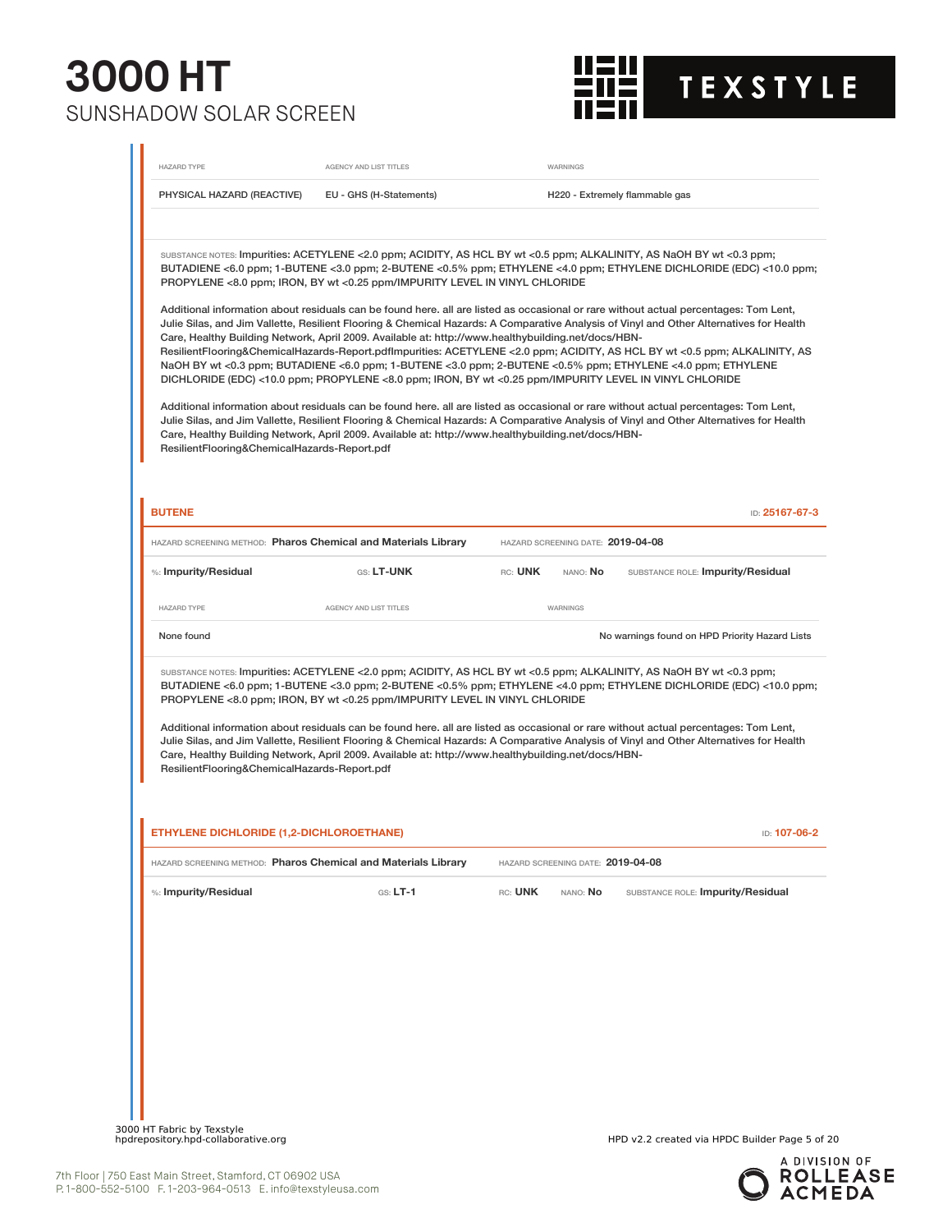

| <b>HAZARD TYPE</b>                             | AGENCY AND LIST TITLES                                                                                                                                                                                                                                                                                                                                                                           | WARNINGS                                                 |                                                                                                                                                                                                                                                                                                                                                                                                                                                                                                                                                                                                                                                                                                                                                                                                                                                                                                                                                                                                                                                               |
|------------------------------------------------|--------------------------------------------------------------------------------------------------------------------------------------------------------------------------------------------------------------------------------------------------------------------------------------------------------------------------------------------------------------------------------------------------|----------------------------------------------------------|---------------------------------------------------------------------------------------------------------------------------------------------------------------------------------------------------------------------------------------------------------------------------------------------------------------------------------------------------------------------------------------------------------------------------------------------------------------------------------------------------------------------------------------------------------------------------------------------------------------------------------------------------------------------------------------------------------------------------------------------------------------------------------------------------------------------------------------------------------------------------------------------------------------------------------------------------------------------------------------------------------------------------------------------------------------|
| PHYSICAL HAZARD (REACTIVE)                     | EU - GHS (H-Statements)                                                                                                                                                                                                                                                                                                                                                                          |                                                          | H220 - Extremely flammable gas                                                                                                                                                                                                                                                                                                                                                                                                                                                                                                                                                                                                                                                                                                                                                                                                                                                                                                                                                                                                                                |
| ResilientFlooring&ChemicalHazards-Report.pdf   | PROPYLENE <8.0 ppm; IRON, BY wt <0.25 ppm/IMPURITY LEVEL IN VINYL CHLORIDE<br>Care, Healthy Building Network, April 2009. Available at: http://www.healthybuilding.net/docs/HBN-<br>DICHLORIDE (EDC) <10.0 ppm; PROPYLENE <8.0 ppm; IRON, BY wt <0.25 ppm/IMPURITY LEVEL IN VINYL CHLORIDE<br>Care, Healthy Building Network, April 2009. Available at: http://www.healthybuilding.net/docs/HBN- |                                                          | SUBSTANCE NOTES: Impurities: ACETYLENE <2.0 ppm; ACIDITY, AS HCL BY wt <0.5 ppm; ALKALINITY, AS NaOH BY wt <0.3 ppm;<br>BUTADIENE <6.0 ppm; 1-BUTENE <3.0 ppm; 2-BUTENE <0.5% ppm; ETHYLENE <4.0 ppm; ETHYLENE DICHLORIDE (EDC) <10.0 ppm;<br>Additional information about residuals can be found here. all are listed as occasional or rare without actual percentages: Tom Lent,<br>Julie Silas, and Jim Vallette, Resilient Flooring & Chemical Hazards: A Comparative Analysis of Vinyl and Other Alternatives for Health<br>ResilientFlooring&ChemicalHazards-Report.pdflmpurities: ACETYLENE <2.0 ppm; ACIDITY, AS HCL BY wt <0.5 ppm; ALKALINITY, AS<br>NaOH BY wt <0.3 ppm; BUTADIENE <6.0 ppm; 1-BUTENE <3.0 ppm; 2-BUTENE <0.5% ppm; ETHYLENE <4.0 ppm; ETHYLENE<br>Additional information about residuals can be found here. all are listed as occasional or rare without actual percentages: Tom Lent,<br>Julie Silas, and Jim Vallette, Resilient Flooring & Chemical Hazards: A Comparative Analysis of Vinyl and Other Alternatives for Health |
| <b>BUTENE</b>                                  |                                                                                                                                                                                                                                                                                                                                                                                                  |                                                          | ID: 25167-67-3                                                                                                                                                                                                                                                                                                                                                                                                                                                                                                                                                                                                                                                                                                                                                                                                                                                                                                                                                                                                                                                |
| %: Impurity/Residual                           | HAZARD SCREENING METHOD: Pharos Chemical and Materials Library<br>GS: LT-UNK                                                                                                                                                                                                                                                                                                                     | HAZARD SCREENING DATE: 2019-04-08<br>RC: UNK<br>NANO: No | SUBSTANCE ROLE: Impurity/Residual                                                                                                                                                                                                                                                                                                                                                                                                                                                                                                                                                                                                                                                                                                                                                                                                                                                                                                                                                                                                                             |
| <b>HAZARD TYPE</b>                             | AGENCY AND LIST TITLES                                                                                                                                                                                                                                                                                                                                                                           | WARNINGS                                                 |                                                                                                                                                                                                                                                                                                                                                                                                                                                                                                                                                                                                                                                                                                                                                                                                                                                                                                                                                                                                                                                               |
| None found                                     |                                                                                                                                                                                                                                                                                                                                                                                                  |                                                          | No warnings found on HPD Priority Hazard Lists                                                                                                                                                                                                                                                                                                                                                                                                                                                                                                                                                                                                                                                                                                                                                                                                                                                                                                                                                                                                                |
| ResilientFlooring&ChemicalHazards-Report.pdf   | PROPYLENE <8.0 ppm; IRON, BY wt <0.25 ppm/IMPURITY LEVEL IN VINYL CHLORIDE<br>Care, Healthy Building Network, April 2009. Available at: http://www.healthybuilding.net/docs/HBN-                                                                                                                                                                                                                 |                                                          | SUBSTANCE NOTES: Impurities: ACETYLENE <2.0 ppm; ACIDITY, AS HCL BY wt <0.5 ppm; ALKALINITY, AS NaOH BY wt <0.3 ppm;<br>BUTADIENE <6.0 ppm; 1-BUTENE <3.0 ppm; 2-BUTENE <0.5% ppm; ETHYLENE <4.0 ppm; ETHYLENE DICHLORIDE (EDC) <10.0 ppm;<br>Additional information about residuals can be found here. all are listed as occasional or rare without actual percentages: Tom Lent,<br>Julie Silas, and Jim Vallette, Resilient Flooring & Chemical Hazards: A Comparative Analysis of Vinyl and Other Alternatives for Health                                                                                                                                                                                                                                                                                                                                                                                                                                                                                                                                 |
|                                                |                                                                                                                                                                                                                                                                                                                                                                                                  |                                                          | ID: 107-06-2                                                                                                                                                                                                                                                                                                                                                                                                                                                                                                                                                                                                                                                                                                                                                                                                                                                                                                                                                                                                                                                  |
|                                                |                                                                                                                                                                                                                                                                                                                                                                                                  |                                                          |                                                                                                                                                                                                                                                                                                                                                                                                                                                                                                                                                                                                                                                                                                                                                                                                                                                                                                                                                                                                                                                               |
| <b>THYLENE DICHLORIDE (1,2-DICHLOROETHANE)</b> | HAZARD SCREENING METHOD: Pharos Chemical and Materials Library                                                                                                                                                                                                                                                                                                                                   | HAZARD SCREENING DATE: 2019-04-08                        |                                                                                                                                                                                                                                                                                                                                                                                                                                                                                                                                                                                                                                                                                                                                                                                                                                                                                                                                                                                                                                                               |
| %: Impurity/Residual                           | $GS: LT-1$                                                                                                                                                                                                                                                                                                                                                                                       | RC: UNK<br>nano: <b>No</b>                               | SUBSTANCE ROLE: Impurity/Residual                                                                                                                                                                                                                                                                                                                                                                                                                                                                                                                                                                                                                                                                                                                                                                                                                                                                                                                                                                                                                             |
|                                                |                                                                                                                                                                                                                                                                                                                                                                                                  |                                                          |                                                                                                                                                                                                                                                                                                                                                                                                                                                                                                                                                                                                                                                                                                                                                                                                                                                                                                                                                                                                                                                               |
|                                                |                                                                                                                                                                                                                                                                                                                                                                                                  |                                                          |                                                                                                                                                                                                                                                                                                                                                                                                                                                                                                                                                                                                                                                                                                                                                                                                                                                                                                                                                                                                                                                               |
|                                                |                                                                                                                                                                                                                                                                                                                                                                                                  |                                                          |                                                                                                                                                                                                                                                                                                                                                                                                                                                                                                                                                                                                                                                                                                                                                                                                                                                                                                                                                                                                                                                               |
|                                                |                                                                                                                                                                                                                                                                                                                                                                                                  |                                                          |                                                                                                                                                                                                                                                                                                                                                                                                                                                                                                                                                                                                                                                                                                                                                                                                                                                                                                                                                                                                                                                               |
|                                                |                                                                                                                                                                                                                                                                                                                                                                                                  |                                                          |                                                                                                                                                                                                                                                                                                                                                                                                                                                                                                                                                                                                                                                                                                                                                                                                                                                                                                                                                                                                                                                               |

3000 HT Fabric by Texstyle<br>hpdrepository.hpd-collaborative.org

HPD v2.2 created via HPDC Builder Page 5 of 20

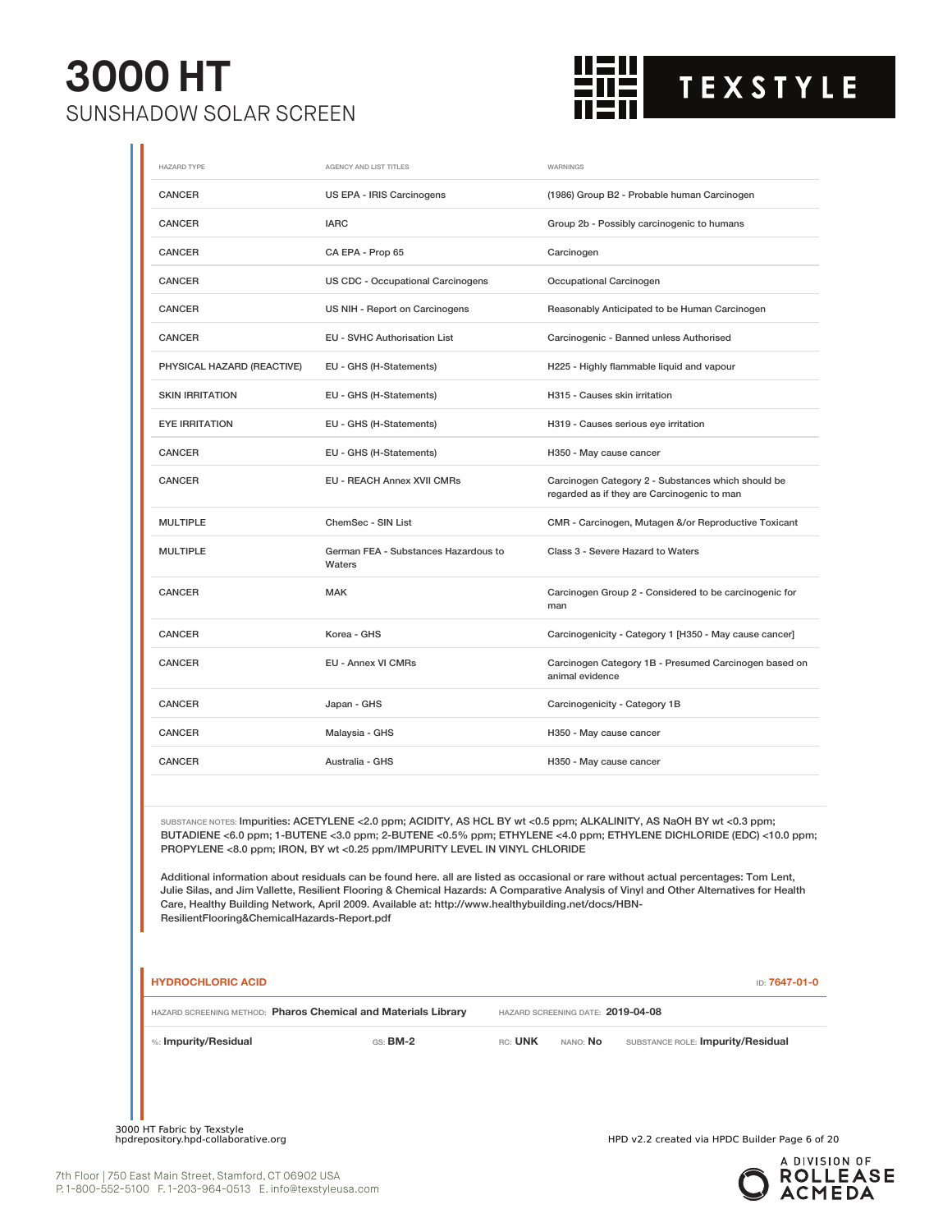

| <b>HAZARD TYPE</b>                                             | AGENCY AND LIST TITLES                                                                                                                                                           | WARNINGS                                                                                                                                                                                                                                                                                                                                                                                                                                                                                                                      |
|----------------------------------------------------------------|----------------------------------------------------------------------------------------------------------------------------------------------------------------------------------|-------------------------------------------------------------------------------------------------------------------------------------------------------------------------------------------------------------------------------------------------------------------------------------------------------------------------------------------------------------------------------------------------------------------------------------------------------------------------------------------------------------------------------|
| <b>CANCER</b>                                                  | US EPA - IRIS Carcinogens                                                                                                                                                        | (1986) Group B2 - Probable human Carcinogen                                                                                                                                                                                                                                                                                                                                                                                                                                                                                   |
| <b>CANCER</b>                                                  | <b>IARC</b>                                                                                                                                                                      | Group 2b - Possibly carcinogenic to humans                                                                                                                                                                                                                                                                                                                                                                                                                                                                                    |
| CANCER                                                         | CA EPA - Prop 65                                                                                                                                                                 | Carcinogen                                                                                                                                                                                                                                                                                                                                                                                                                                                                                                                    |
| CANCER                                                         | US CDC - Occupational Carcinogens                                                                                                                                                | Occupational Carcinogen                                                                                                                                                                                                                                                                                                                                                                                                                                                                                                       |
| <b>CANCER</b>                                                  | US NIH - Report on Carcinogens                                                                                                                                                   | Reasonably Anticipated to be Human Carcinogen                                                                                                                                                                                                                                                                                                                                                                                                                                                                                 |
| CANCER                                                         | EU - SVHC Authorisation List                                                                                                                                                     | Carcinogenic - Banned unless Authorised                                                                                                                                                                                                                                                                                                                                                                                                                                                                                       |
| PHYSICAL HAZARD (REACTIVE)                                     | EU - GHS (H-Statements)                                                                                                                                                          | H225 - Highly flammable liquid and vapour                                                                                                                                                                                                                                                                                                                                                                                                                                                                                     |
| <b>SKIN IRRITATION</b>                                         | EU - GHS (H-Statements)                                                                                                                                                          | H315 - Causes skin irritation                                                                                                                                                                                                                                                                                                                                                                                                                                                                                                 |
| <b>EYE IRRITATION</b>                                          | EU - GHS (H-Statements)                                                                                                                                                          | H319 - Causes serious eye irritation                                                                                                                                                                                                                                                                                                                                                                                                                                                                                          |
| <b>CANCER</b>                                                  | EU - GHS (H-Statements)                                                                                                                                                          | H350 - May cause cancer                                                                                                                                                                                                                                                                                                                                                                                                                                                                                                       |
| <b>CANCER</b>                                                  | EU - REACH Annex XVII CMRs                                                                                                                                                       | Carcinogen Category 2 - Substances which should be<br>regarded as if they are Carcinogenic to man                                                                                                                                                                                                                                                                                                                                                                                                                             |
| <b>MULTIPLE</b>                                                | ChemSec - SIN List                                                                                                                                                               | CMR - Carcinogen, Mutagen &/or Reproductive Toxicant                                                                                                                                                                                                                                                                                                                                                                                                                                                                          |
| <b>MULTIPLE</b>                                                | German FEA - Substances Hazardous to<br>Waters                                                                                                                                   | Class 3 - Severe Hazard to Waters                                                                                                                                                                                                                                                                                                                                                                                                                                                                                             |
| CANCER                                                         | <b>MAK</b>                                                                                                                                                                       | Carcinogen Group 2 - Considered to be carcinogenic for<br>man                                                                                                                                                                                                                                                                                                                                                                                                                                                                 |
| <b>CANCER</b>                                                  | Korea - GHS                                                                                                                                                                      | Carcinogenicity - Category 1 [H350 - May cause cancer]                                                                                                                                                                                                                                                                                                                                                                                                                                                                        |
| <b>CANCER</b>                                                  | EU - Annex VI CMRs                                                                                                                                                               | Carcinogen Category 1B - Presumed Carcinogen based on<br>animal evidence                                                                                                                                                                                                                                                                                                                                                                                                                                                      |
| CANCER                                                         | Japan - GHS                                                                                                                                                                      | Carcinogenicity - Category 1B                                                                                                                                                                                                                                                                                                                                                                                                                                                                                                 |
| CANCER                                                         | Malaysia - GHS                                                                                                                                                                   | H350 - May cause cancer                                                                                                                                                                                                                                                                                                                                                                                                                                                                                                       |
| <b>CANCER</b>                                                  | Australia - GHS                                                                                                                                                                  | H350 - May cause cancer                                                                                                                                                                                                                                                                                                                                                                                                                                                                                                       |
| ResilientFlooring&ChemicalHazards-Report.pdf                   | PROPYLENE <8.0 ppm; IRON, BY wt <0.25 ppm/IMPURITY LEVEL IN VINYL CHLORIDE<br>Care, Healthy Building Network, April 2009. Available at: http://www.healthybuilding.net/docs/HBN- | SUBSTANCE NOTES: Impurities: ACETYLENE <2.0 ppm; ACIDITY, AS HCL BY wt <0.5 ppm; ALKALINITY, AS NaOH BY wt <0.3 ppm;<br>BUTADIENE <6.0 ppm; 1-BUTENE <3.0 ppm; 2-BUTENE <0.5% ppm; ETHYLENE <4.0 ppm; ETHYLENE DICHLORIDE (EDC) <10.0 ppm;<br>Additional information about residuals can be found here. all are listed as occasional or rare without actual percentages: Tom Lent,<br>Julie Silas, and Jim Vallette, Resilient Flooring & Chemical Hazards: A Comparative Analysis of Vinyl and Other Alternatives for Health |
| <b>HYDROCHLORIC ACID</b>                                       |                                                                                                                                                                                  | ID: 7647-01-0                                                                                                                                                                                                                                                                                                                                                                                                                                                                                                                 |
| HAZARD SCREENING METHOD: Pharos Chemical and Materials Library |                                                                                                                                                                                  | HAZARD SCREENING DATE: 2019-04-08                                                                                                                                                                                                                                                                                                                                                                                                                                                                                             |

%: **Impurity/Residual** GS: **BM-2** RC: **UNK** NANO: **No** SUBSTANCE ROLE: **Impurity/Residual**

3000 HT Fabric by Texstyle<br>hpdrepository.hpd-collaborative.org

HPD v2.2 created via HPDC Builder Page 6 of 20

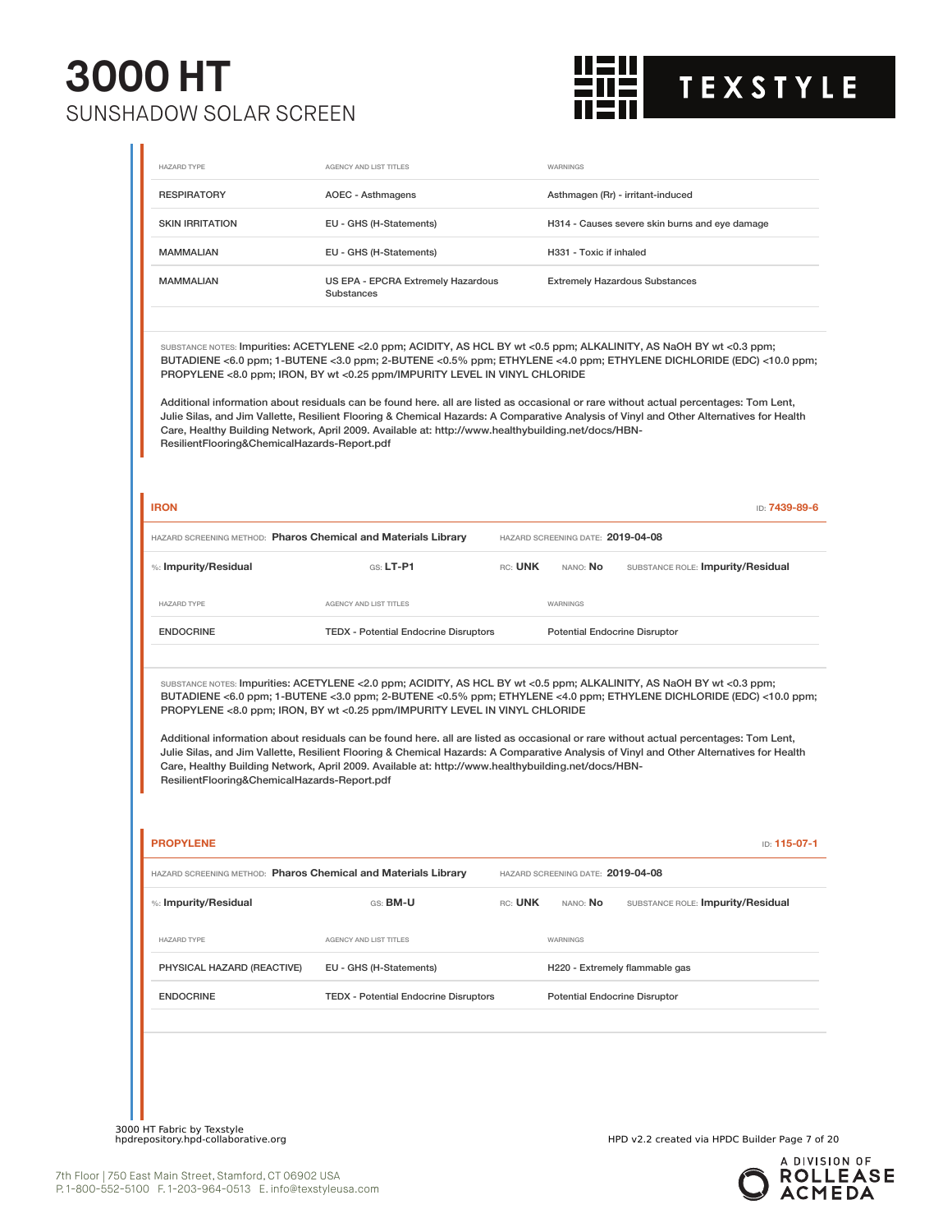

| <b>RESPIRATORY</b>                                                                                         |                                                                                                                                                                                                                                                                                                                                                                                                                                                                                                                                                                                                                                                                                                                   |         |                                      |                                                |               |
|------------------------------------------------------------------------------------------------------------|-------------------------------------------------------------------------------------------------------------------------------------------------------------------------------------------------------------------------------------------------------------------------------------------------------------------------------------------------------------------------------------------------------------------------------------------------------------------------------------------------------------------------------------------------------------------------------------------------------------------------------------------------------------------------------------------------------------------|---------|--------------------------------------|------------------------------------------------|---------------|
|                                                                                                            | AOEC - Asthmagens                                                                                                                                                                                                                                                                                                                                                                                                                                                                                                                                                                                                                                                                                                 |         |                                      | Asthmagen (Rr) - irritant-induced              |               |
| <b>SKIN IRRITATION</b>                                                                                     | EU - GHS (H-Statements)                                                                                                                                                                                                                                                                                                                                                                                                                                                                                                                                                                                                                                                                                           |         |                                      | H314 - Causes severe skin burns and eye damage |               |
| <b>MAMMALIAN</b>                                                                                           | EU - GHS (H-Statements)                                                                                                                                                                                                                                                                                                                                                                                                                                                                                                                                                                                                                                                                                           |         | H331 - Toxic if inhaled              |                                                |               |
| <b>MAMMALIAN</b>                                                                                           | US EPA - EPCRA Extremely Hazardous<br><b>Substances</b>                                                                                                                                                                                                                                                                                                                                                                                                                                                                                                                                                                                                                                                           |         |                                      | <b>Extremely Hazardous Substances</b>          |               |
| ResilientFlooring&ChemicalHazards-Report.pdf                                                               | SUBSTANCE NOTES: Impurities: ACETYLENE <2.0 ppm; ACIDITY, AS HCL BY wt <0.5 ppm; ALKALINITY, AS NaOH BY wt <0.3 ppm;<br>BUTADIENE <6.0 ppm; 1-BUTENE <3.0 ppm; 2-BUTENE <0.5% ppm; ETHYLENE <4.0 ppm; ETHYLENE DICHLORIDE (EDC) <10.0 ppm;<br>PROPYLENE <8.0 ppm; IRON, BY wt <0.25 ppm/IMPURITY LEVEL IN VINYL CHLORIDE<br>Additional information about residuals can be found here. all are listed as occasional or rare without actual percentages: Tom Lent,<br>Julie Silas, and Jim Vallette, Resilient Flooring & Chemical Hazards: A Comparative Analysis of Vinyl and Other Alternatives for Health<br>Care, Healthy Building Network, April 2009. Available at: http://www.healthybuilding.net/docs/HBN- |         |                                      |                                                |               |
| <b>IRON</b>                                                                                                |                                                                                                                                                                                                                                                                                                                                                                                                                                                                                                                                                                                                                                                                                                                   |         |                                      |                                                | ID: 7439-89-6 |
| HAZARD SCREENING METHOD: Pharos Chemical and Materials Library                                             |                                                                                                                                                                                                                                                                                                                                                                                                                                                                                                                                                                                                                                                                                                                   |         | HAZARD SCREENING DATE: 2019-04-08    |                                                |               |
| %: Impurity/Residual                                                                                       | $GS: LT-P1$                                                                                                                                                                                                                                                                                                                                                                                                                                                                                                                                                                                                                                                                                                       | RC: UNK | NANO: No                             | SUBSTANCE ROLE: Impurity/Residual              |               |
| <b>HAZARD TYPE</b>                                                                                         | AGENCY AND LIST TITLES                                                                                                                                                                                                                                                                                                                                                                                                                                                                                                                                                                                                                                                                                            |         | WARNINGS                             |                                                |               |
| <b>ENDOCRINE</b>                                                                                           | <b>TEDX</b> - Potential Endocrine Disruptors                                                                                                                                                                                                                                                                                                                                                                                                                                                                                                                                                                                                                                                                      |         | <b>Potential Endocrine Disruptor</b> |                                                |               |
| ResilientFlooring&ChemicalHazards-Report.pdf                                                               | SUBSTANCE NOTES: Impurities: ACETYLENE <2.0 ppm; ACIDITY, AS HCL BY wt <0.5 ppm; ALKALINITY, AS NaOH BY wt <0.3 ppm;<br>BUTADIENE <6.0 ppm; 1-BUTENE <3.0 ppm; 2-BUTENE <0.5% ppm; ETHYLENE <4.0 ppm; ETHYLENE DICHLORIDE (EDC) <10.0 ppm;<br>PROPYLENE <8.0 ppm; IRON, BY wt <0.25 ppm/IMPURITY LEVEL IN VINYL CHLORIDE<br>Additional information about residuals can be found here. all are listed as occasional or rare without actual percentages: Tom Lent,<br>Julie Silas, and Jim Vallette, Resilient Flooring & Chemical Hazards: A Comparative Analysis of Vinyl and Other Alternatives for Health<br>Care, Healthy Building Network, April 2009. Available at: http://www.healthybuilding.net/docs/HBN- |         |                                      |                                                |               |
|                                                                                                            |                                                                                                                                                                                                                                                                                                                                                                                                                                                                                                                                                                                                                                                                                                                   |         |                                      |                                                |               |
|                                                                                                            |                                                                                                                                                                                                                                                                                                                                                                                                                                                                                                                                                                                                                                                                                                                   |         |                                      |                                                | in: 115-07-1  |
|                                                                                                            |                                                                                                                                                                                                                                                                                                                                                                                                                                                                                                                                                                                                                                                                                                                   |         | HAZARD SCREENING DATE: 2019-04-08    |                                                |               |
|                                                                                                            | GS: BM-U                                                                                                                                                                                                                                                                                                                                                                                                                                                                                                                                                                                                                                                                                                          | RC: UNK | NANO: No                             | SUBSTANCE ROLE: Impurity/Residual              |               |
| <b>HAZARD TYPE</b>                                                                                         | <b>AGENCY AND LIST TITLES</b>                                                                                                                                                                                                                                                                                                                                                                                                                                                                                                                                                                                                                                                                                     |         | WARNINGS                             |                                                |               |
| PHYSICAL HAZARD (REACTIVE)                                                                                 | EU - GHS (H-Statements)                                                                                                                                                                                                                                                                                                                                                                                                                                                                                                                                                                                                                                                                                           |         |                                      | H220 - Extremely flammable gas                 |               |
| <b>ENDOCRINE</b>                                                                                           | <b>TEDX - Potential Endocrine Disruptors</b>                                                                                                                                                                                                                                                                                                                                                                                                                                                                                                                                                                                                                                                                      |         | <b>Potential Endocrine Disruptor</b> |                                                |               |
| <b>PROPYLENE</b><br>HAZARD SCREENING METHOD: Pharos Chemical and Materials Library<br>%: Impurity/Residual |                                                                                                                                                                                                                                                                                                                                                                                                                                                                                                                                                                                                                                                                                                                   |         |                                      |                                                |               |

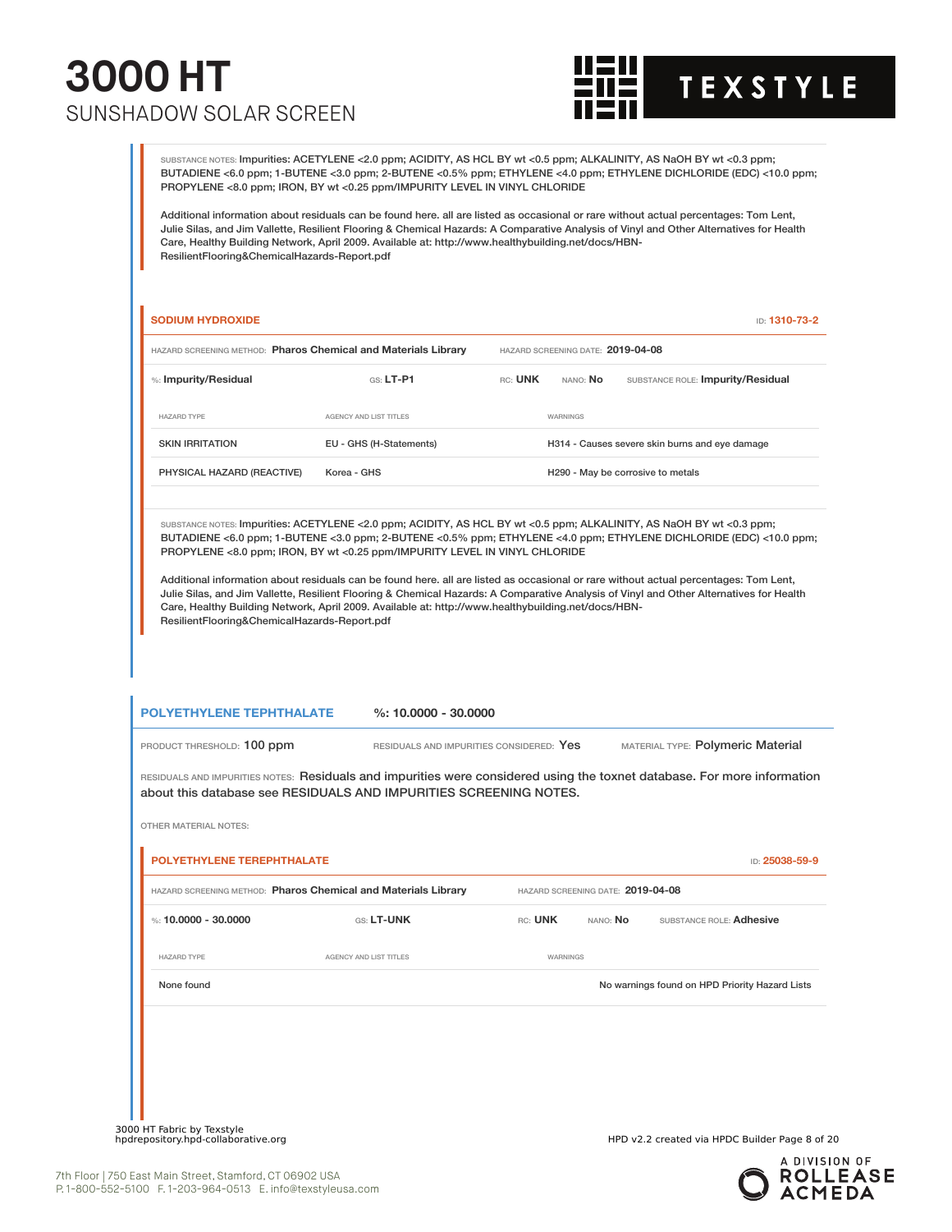

SUBSTANCE NOTES: Impurities: ACETYLENE <2.0 ppm; ACIDITY, AS HCL BY wt <0.5 ppm; ALKALINITY, AS NaOH BY wt <0.3 ppm; BUTADIENE <6.0 ppm; 1-BUTENE <3.0 ppm; 2-BUTENE <0.5% ppm; ETHYLENE <4.0 ppm; ETHYLENE DICHLORIDE (EDC) <10.0 ppm; PROPYLENE <8.0 ppm; IRON, BY wt <0.25 ppm/IMPURITY LEVEL IN VINYL CHLORIDE

Additional information about residuals can be found here. all are listed as occasional or rare without actual percentages: Tom Lent, Julie Silas, and Jim Vallette, Resilient Flooring & Chemical Hazards: A Comparative Analysis of Vinyl and Other Alternatives for Health Care, Healthy Building Network, April 2009. Available at: http://www.healthybuilding.net/docs/HBN-ResilientFlooring&ChemicalHazards-Report.pdf

#### **SODIUM HYDROXIDE** ID: **1310-73-2**

| HAZARD SCREENING METHOD: Pharos Chemical and Materials Library |                         |         | HAZARD SCREENING DATE: 2019-04-08 |                                                |
|----------------------------------------------------------------|-------------------------|---------|-----------------------------------|------------------------------------------------|
| %: Impurity/Residual                                           | $GS: LT-PI$             | RC: UNK | NANO: <b>No</b>                   | SUBSTANCE ROLE: Impurity/Residual              |
| HAZARD TYPE                                                    | AGENCY AND LIST TITLES  |         | WARNINGS                          |                                                |
| <b>SKIN IRRITATION</b>                                         | EU - GHS (H-Statements) |         |                                   | H314 - Causes severe skin burns and eye damage |
| PHYSICAL HAZARD (REACTIVE)                                     | Korea - GHS             |         |                                   | H290 - May be corrosive to metals              |

SUBSTANCE NOTES: Impurities: ACETYLENE <2.0 ppm; ACIDITY, AS HCL BY wt <0.5 ppm; ALKALINITY, AS NaOH BY wt <0.3 ppm; BUTADIENE <6.0 ppm; 1-BUTENE <3.0 ppm; 2-BUTENE <0.5% ppm; ETHYLENE <4.0 ppm; ETHYLENE DICHLORIDE (EDC) <10.0 ppm; PROPYLENE <8.0 ppm; IRON, BY wt <0.25 ppm/IMPURITY LEVEL IN VINYL CHLORIDE

Additional information about residuals can be found here. all are listed as occasional or rare without actual percentages: Tom Lent, Julie Silas, and Jim Vallette, Resilient Flooring & Chemical Hazards: A Comparative Analysis of Vinyl and Other Alternatives for Health Care, Healthy Building Network, April 2009. Available at: http://www.healthybuilding.net/docs/HBN-ResilientFlooring&ChemicalHazards-Report.pdf

| <b>POLYETHYLENE TEPHTHALATE</b> | $\%$ : 10.0000 - 30.0000                 |                                   |
|---------------------------------|------------------------------------------|-----------------------------------|
| PRODUCT THRESHOLD: 100 ppm      | RESIDUALS AND IMPURITIES CONSIDERED: Yes | MATERIAL TYPE: Polymeric Material |

RESIDUALS AND IMPURITIES NOTES: Residuals and impurities were considered using the toxnet database. For more information about this database see RESIDUALS AND IMPURITIES SCREENING NOTES.

|                      | HAZARD SCREENING METHOD: Pharos Chemical and Materials Library |          | HAZARD SCREENING DATE: 2019-04-08 |                                                |
|----------------------|----------------------------------------------------------------|----------|-----------------------------------|------------------------------------------------|
| %: 10,0000 - 30,0000 | GS: LT-UNK                                                     | RC: UNK  | nano: <b>No</b>                   | SUBSTANCE ROLE: Adhesive                       |
| <b>HAZARD TYPE</b>   | <b>AGENCY AND LIST TITLES</b>                                  | WARNINGS |                                   |                                                |
| None found           |                                                                |          |                                   | No warnings found on HPD Priority Hazard Lists |
|                      |                                                                |          |                                   |                                                |
|                      |                                                                |          |                                   |                                                |
|                      |                                                                |          |                                   |                                                |

7th Floor | 750 East Main Street, Stamford, CT 06902 USA P. 1-800-552-5100 F. 1-203-964-0513 E. info@texstyleusa.com

300

OTHER MATERIAL NOTES:

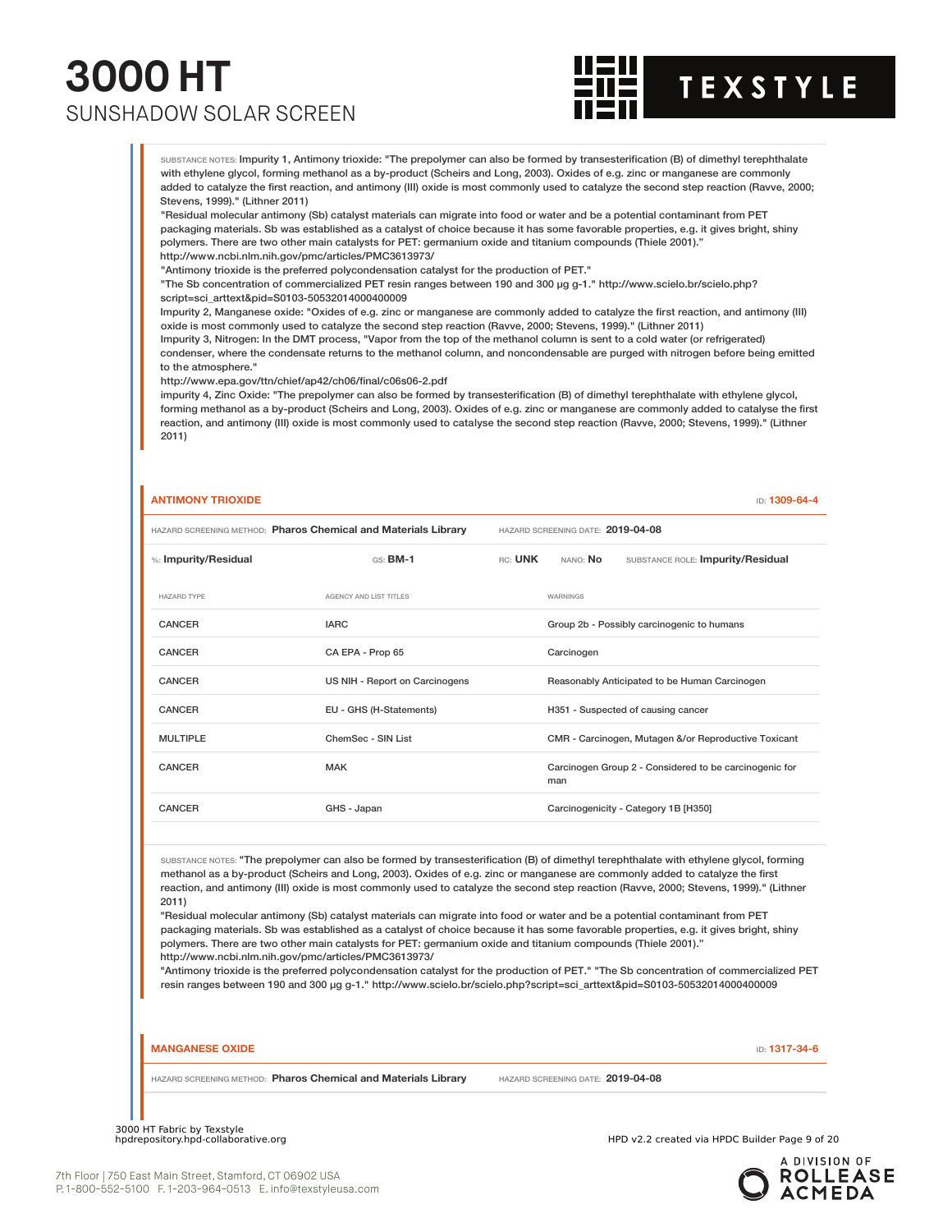

SUBSTANCE NOTES: Impurity 1, Antimony trioxide: "The prepolymer can also be formed by transesterification (B) of dimethyl terephthalate with ethylene glycol, forming methanol as a by-product (Scheirs and Long, 2003). Oxides of e.g. zinc or manganese are commonly added to catalyze the first reaction, and antimony (III) oxide is most commonly used to catalyze the second step reaction (Ravve, 2000; Stevens, 1999)." (Lithner 2011)

"Residual molecular antimony (Sb) catalyst materials can migrate into food or water and be a potential contaminant from PET packaging materials. Sb was established as a catalyst of choice because it has some favorable properties, e.g. it gives bright, shiny polymers. There are two other main catalysts for PET: germanium oxide and titanium compounds (Thiele 2001)." http://www.ncbi.nlm.nih.gov/pmc/articles/PMC3613973/

"Antimony trioxide is the preferred polycondensation catalyst for the production of PET."

"The Sb concentration of commercialized PET resin ranges between 190 and 300 µg g-1." http://www.scielo.br/scielo.php? script=sci\_arttext&pid=S0103-50532014000400009

Impurity 2, Manganese oxide: "Oxides of e.g. zinc or manganese are commonly added to catalyze the first reaction, and antimony (III) oxide is most commonly used to catalyze the second step reaction (Ravve, 2000; Stevens, 1999)." (Lithner 2011)

Impurity 3, Nitrogen: In the DMT process, "Vapor from the top of the methanol column is sent to a cold water (or refrigerated) condenser, where the condensate returns to the methanol column, and noncondensable are purged with nitrogen before being emitted to the atmosphere."

http://www.epa.gov/ttn/chief/ap42/ch06/final/c06s06-2.pdf

impurity 4, Zinc Oxide: "The prepolymer can also be formed by transesterification (B) of dimethyl terephthalate with ethylene glycol, forming methanol as a by-product (Scheirs and Long, 2003). Oxides of e.g. zinc or manganese are commonly added to catalyse the first reaction, and antimony (III) oxide is most commonly used to catalyse the second step reaction (Ravve, 2000; Stevens, 1999)." (Lithner 2011)

| <b>ANTIMONY TRIOXIDE</b>                                       |                                |         |                                   | ID: 1309-64-4                                          |
|----------------------------------------------------------------|--------------------------------|---------|-----------------------------------|--------------------------------------------------------|
| HAZARD SCREENING METHOD: Pharos Chemical and Materials Library |                                |         | HAZARD SCREENING DATE: 2019-04-08 |                                                        |
| %: Impurity/Residual                                           | $GS:$ BM-1                     | RC: UNK | NANO: No                          | SUBSTANCE ROLE: Impurity/Residual                      |
| <b>HAZARD TYPE</b>                                             | AGENCY AND LIST TITLES         |         | WARNINGS                          |                                                        |
| CANCER                                                         | <b>IARC</b>                    |         |                                   | Group 2b - Possibly carcinogenic to humans             |
| CANCER                                                         | CA EPA - Prop 65               |         | Carcinogen                        |                                                        |
| CANCER                                                         | US NIH - Report on Carcinogens |         |                                   | Reasonably Anticipated to be Human Carcinogen          |
| CANCER                                                         | EU - GHS (H-Statements)        |         |                                   | H351 - Suspected of causing cancer                     |
| <b>MULTIPLE</b>                                                | ChemSec - SIN List             |         |                                   | CMR - Carcinogen, Mutagen &/or Reproductive Toxicant   |
| CANCER                                                         | <b>MAK</b>                     |         | man                               | Carcinogen Group 2 - Considered to be carcinogenic for |
| CANCER                                                         | GHS - Japan                    |         |                                   | Carcinogenicity - Category 1B [H350]                   |
|                                                                |                                |         |                                   |                                                        |

SUBSTANCE NOTES: "The prepolymer can also be formed by transesterification (B) of dimethyl terephthalate with ethylene glycol, forming methanol as a by-product (Scheirs and Long, 2003). Oxides of e.g. zinc or manganese are commonly added to catalyze the first reaction, and antimony (III) oxide is most commonly used to catalyze the second step reaction (Ravve, 2000; Stevens, 1999)." (Lithner 2011)

"Residual molecular antimony (Sb) catalyst materials can migrate into food or water and be a potential contaminant from PET packaging materials. Sb was established as a catalyst of choice because it has some favorable properties, e.g. it gives bright, shiny polymers. There are two other main catalysts for PET: germanium oxide and titanium compounds (Thiele 2001)." http://www.ncbi.nlm.nih.gov/pmc/articles/PMC3613973/

"Antimony trioxide is the preferred polycondensation catalyst for the production of PET." "The Sb concentration of commercialized PET resin ranges between 190 and 300 µg g-1." http://www.scielo.br/scielo.php?script=sci\_arttext&pid=S0103-50532014000400009

#### **MANGANESE OXIDE** ID: **1317-34-6**

HAZARD SCREENING METHOD: **Pharos Chemical and Materials Library** HAZARD SCREENING DATE: **2019-04-08**

3000 HT Fabric by Texstyle

HPD v2.2 created via HPDC Builder Page 9 of 20

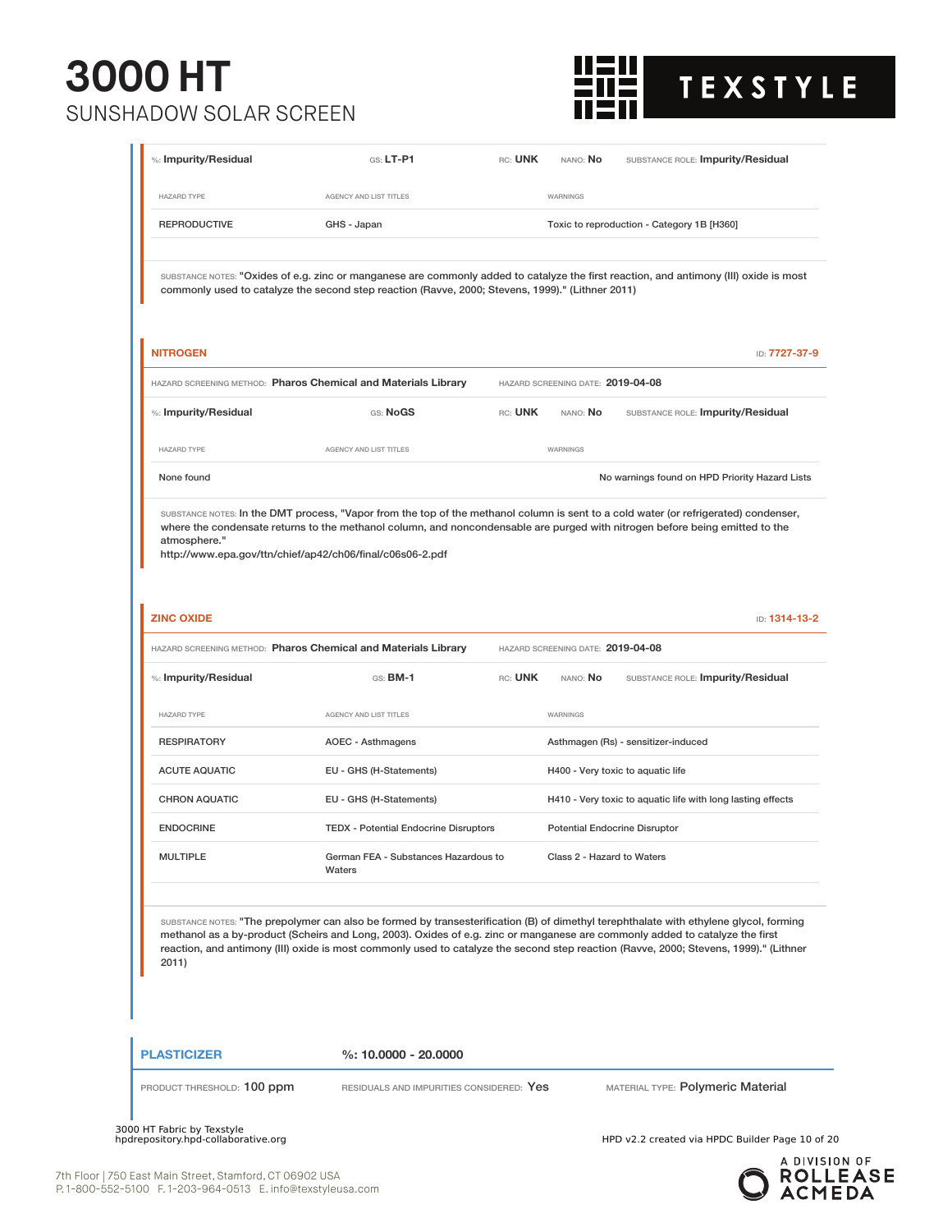

|                                                                |                                                                                                                              |         | NANO: No                             |                                                                                                                                                                                                                                                                                 |
|----------------------------------------------------------------|------------------------------------------------------------------------------------------------------------------------------|---------|--------------------------------------|---------------------------------------------------------------------------------------------------------------------------------------------------------------------------------------------------------------------------------------------------------------------------------|
| <b>HAZARD TYPE</b>                                             | <b>AGENCY AND LIST TITLES</b>                                                                                                |         | WARNINGS                             |                                                                                                                                                                                                                                                                                 |
| <b>REPRODUCTIVE</b>                                            | GHS - Japan                                                                                                                  |         |                                      | Toxic to reproduction - Category 1B [H360]                                                                                                                                                                                                                                      |
|                                                                | commonly used to catalyze the second step reaction (Ravve, 2000; Stevens, 1999)." (Lithner 2011)                             |         |                                      | SUBSTANCE NOTES: "Oxides of e.g. zinc or manganese are commonly added to catalyze the first reaction, and antimony (III) oxide is most                                                                                                                                          |
| <b>NITROGEN</b>                                                |                                                                                                                              |         |                                      | ID: 7727-37-9                                                                                                                                                                                                                                                                   |
|                                                                | HAZARD SCREENING METHOD: Pharos Chemical and Materials Library                                                               |         | HAZARD SCREENING DATE: 2019-04-08    |                                                                                                                                                                                                                                                                                 |
| %: Impurity/Residual                                           | GS: NoGS                                                                                                                     | RC: UNK | NANO: No                             | SUBSTANCE ROLE: Impurity/Residual                                                                                                                                                                                                                                               |
| <b>HAZARD TYPE</b>                                             | AGENCY AND LIST TITLES                                                                                                       |         | <b>WARNINGS</b>                      |                                                                                                                                                                                                                                                                                 |
| None found                                                     |                                                                                                                              |         |                                      | No warnings found on HPD Priority Hazard Lists                                                                                                                                                                                                                                  |
| atmosphere."                                                   | http://www.epa.gov/ttn/chief/ap42/ch06/final/c06s06-2.pdf                                                                    |         |                                      |                                                                                                                                                                                                                                                                                 |
| <b>ZINC OXIDE</b>                                              | HAZARD SCREENING METHOD: Pharos Chemical and Materials Library                                                               |         | HAZARD SCREENING DATE: 2019-04-08    | ID: 1314-13-2                                                                                                                                                                                                                                                                   |
| %: Impurity/Residual                                           | $GS:$ BM-1                                                                                                                   | RC: UNK | NANO: No                             | SUBSTANCE ROLE: Impurity/Residual                                                                                                                                                                                                                                               |
|                                                                | AGENCY AND LIST TITLES                                                                                                       |         | WARNINGS                             |                                                                                                                                                                                                                                                                                 |
|                                                                | <b>AOEC - Asthmagens</b>                                                                                                     |         |                                      | Asthmagen (Rs) - sensitizer-induced                                                                                                                                                                                                                                             |
|                                                                | EU - GHS (H-Statements)                                                                                                      |         |                                      | H400 - Very toxic to aquatic life                                                                                                                                                                                                                                               |
|                                                                | EU - GHS (H-Statements)                                                                                                      |         |                                      | H410 - Very toxic to aquatic life with long lasting effects                                                                                                                                                                                                                     |
| <b>RESPIRATORY</b><br><b>CHRON AQUATIC</b><br><b>ENDOCRINE</b> | <b>TEDX</b> - Potential Endocrine Disruptors                                                                                 |         | <b>Potential Endocrine Disruptor</b> |                                                                                                                                                                                                                                                                                 |
| <b>HAZARD TYPE</b><br><b>ACUTE AQUATIC</b><br><b>MULTIPLE</b>  | German FEA - Substances Hazardous to<br>Waters                                                                               |         | Class 2 - Hazard to Waters           |                                                                                                                                                                                                                                                                                 |
| 2011)                                                          | methanol as a by-product (Scheirs and Long, 2003). Oxides of e.g. zinc or manganese are commonly added to catalyze the first |         |                                      | SUBSTANCE NOTES: "The prepolymer can also be formed by transesterification (B) of dimethyl terephthalate with ethylene glycol, forming<br>reaction, and antimony (III) oxide is most commonly used to catalyze the second step reaction (Ravve, 2000; Stevens, 1999)." (Lithner |
| <b>PLASTICIZER</b>                                             | $%: 10.0000 - 20.0000$                                                                                                       |         |                                      |                                                                                                                                                                                                                                                                                 |

3000 HT Fabric by Texstyle<br>hpdrepository.hpd-collaborative.org

HPD v2.2 created via HPDC Builder Page 10 of 20

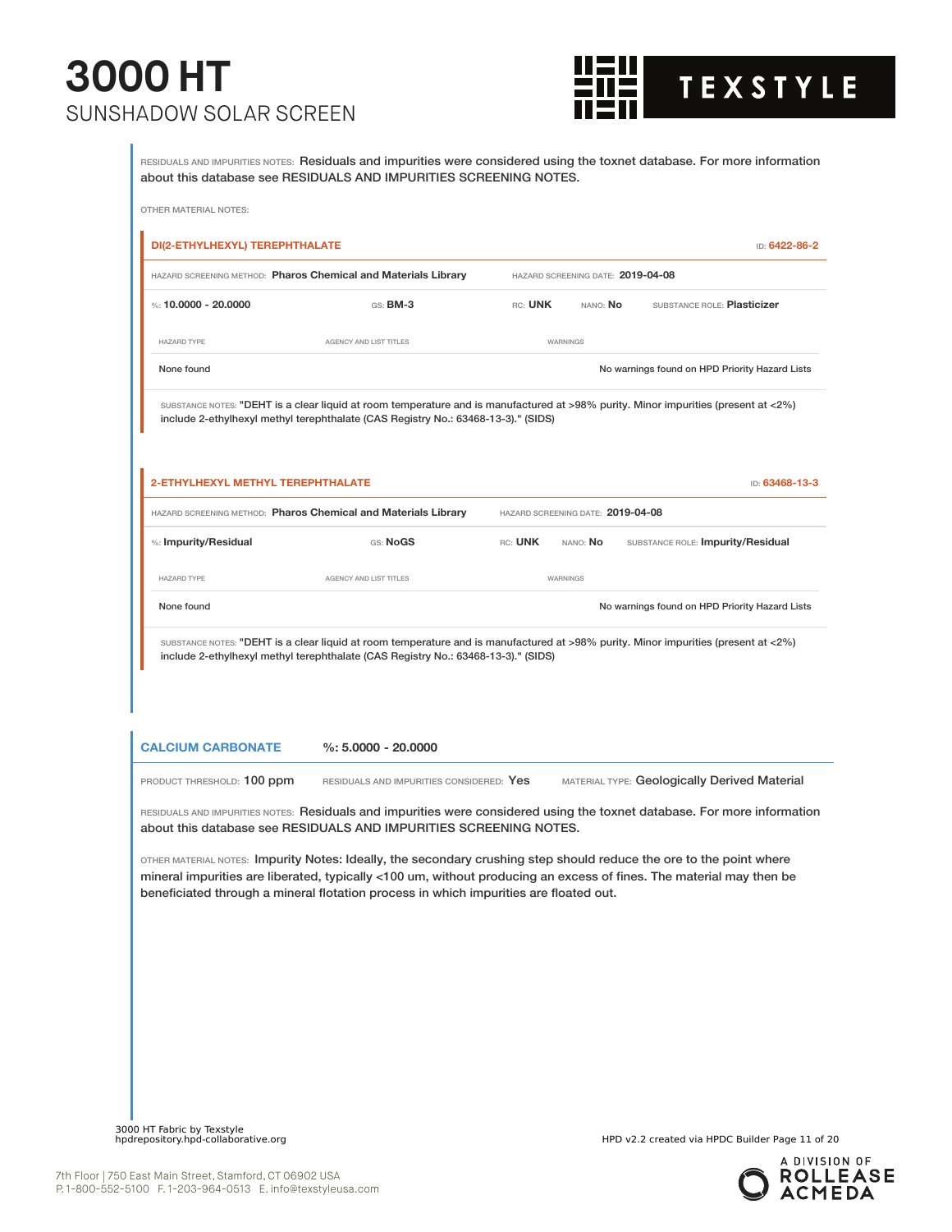

RESIDUALS AND IMPURITIES NOTES: Residuals and impurities were considered using the toxnet database. For more information about this database see RESIDUALS AND IMPURITIES SCREENING NOTES.

|                                                        | HAZARD SCREENING METHOD: Pharos Chemical and Materials Library                                                                                                                                                                                                                                                                      |         | HAZARD SCREENING DATE: 2019-04-08 |                                                |
|--------------------------------------------------------|-------------------------------------------------------------------------------------------------------------------------------------------------------------------------------------------------------------------------------------------------------------------------------------------------------------------------------------|---------|-----------------------------------|------------------------------------------------|
| %: 10.0000 - 20.0000                                   | GS: <b>BM-3</b>                                                                                                                                                                                                                                                                                                                     | RC: UNK | nano: <b>No</b>                   | SUBSTANCE ROLE: Plasticizer                    |
| <b>HAZARD TYPE</b>                                     | AGENCY AND LIST TITLES                                                                                                                                                                                                                                                                                                              |         | WARNINGS                          |                                                |
| None found                                             |                                                                                                                                                                                                                                                                                                                                     |         |                                   | No warnings found on HPD Priority Hazard Lists |
|                                                        | SUBSTANCE NOTES: "DEHT is a clear liquid at room temperature and is manufactured at >98% purity. Minor impurities (present at <2%)<br>include 2-ethylhexyl methyl terephthalate (CAS Registry No.: 63468-13-3)." (SIDS)                                                                                                             |         |                                   |                                                |
| 2-ETHYLHEXYL METHYL TEREPHTHALATE                      |                                                                                                                                                                                                                                                                                                                                     |         |                                   | ID: 63468-13-3                                 |
|                                                        | HAZARD SCREENING METHOD: Pharos Chemical and Materials Library                                                                                                                                                                                                                                                                      |         | HAZARD SCREENING DATE: 2019-04-08 |                                                |
| %: Impurity/Residual                                   | GS: NoGS                                                                                                                                                                                                                                                                                                                            | RC: UNK | NANO: No                          | SUBSTANCE ROLE: Impurity/Residual              |
|                                                        |                                                                                                                                                                                                                                                                                                                                     |         |                                   |                                                |
| <b>HAZARD TYPE</b>                                     | AGENCY AND LIST TITLES                                                                                                                                                                                                                                                                                                              |         | WARNINGS                          |                                                |
| None found                                             | SUBSTANCE NOTES: "DEHT is a clear liquid at room temperature and is manufactured at >98% purity. Minor impurities (present at <2%)<br>include 2-ethylhexyl methyl terephthalate (CAS Registry No.: 63468-13-3)." (SIDS)                                                                                                             |         |                                   | No warnings found on HPD Priority Hazard Lists |
|                                                        | $%: 5.0000 - 20.0000$                                                                                                                                                                                                                                                                                                               |         |                                   |                                                |
| <b>CALCIUM CARBONATE</b><br>PRODUCT THRESHOLD: 100 ppm | RESIDUALS AND IMPURITIES CONSIDERED: Yes                                                                                                                                                                                                                                                                                            |         |                                   | MATERIAL TYPE: Geologically Derived Material   |
|                                                        | RESIDUALS AND IMPURITIES NOTES: Residuals and impurities were considered using the toxnet database. For more information<br>about this database see RESIDUALS AND IMPURITIES SCREENING NOTES.                                                                                                                                       |         |                                   |                                                |
|                                                        | OTHER MATERIAL NOTES: Impurity Notes: Ideally, the secondary crushing step should reduce the ore to the point where<br>mineral impurities are liberated, typically <100 um, without producing an excess of fines. The material may then be<br>beneficiated through a mineral flotation process in which impurities are floated out. |         |                                   |                                                |
|                                                        |                                                                                                                                                                                                                                                                                                                                     |         |                                   |                                                |
|                                                        |                                                                                                                                                                                                                                                                                                                                     |         |                                   |                                                |
|                                                        |                                                                                                                                                                                                                                                                                                                                     |         |                                   |                                                |
|                                                        |                                                                                                                                                                                                                                                                                                                                     |         |                                   |                                                |

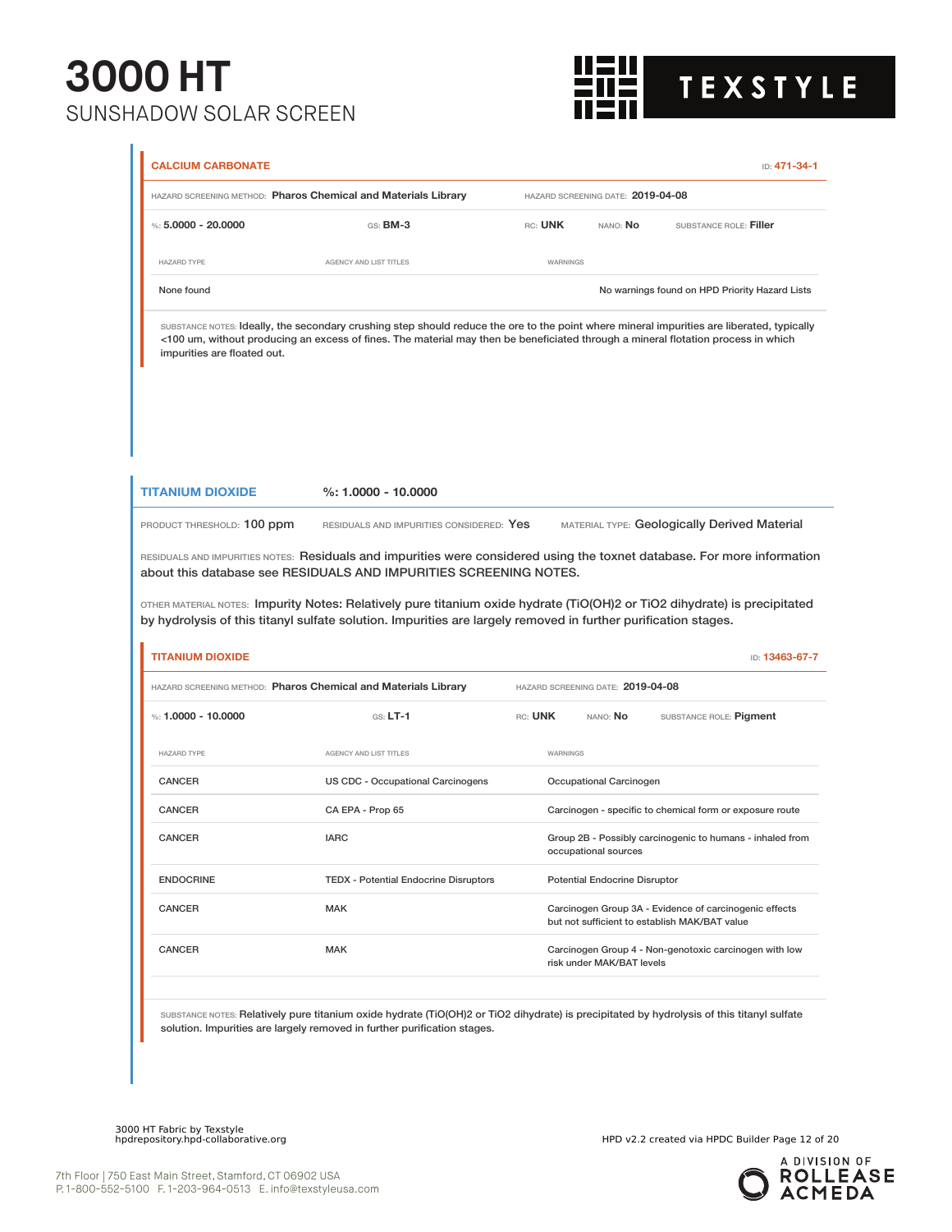

|                                                       | HAZARD SCREENING METHOD: Pharos Chemical and Materials Library                                                                                                                                                                                                                                                                                                         |                 | HAZARD SCREENING DATE: 2019-04-08    |                                                                                                         |                |
|-------------------------------------------------------|------------------------------------------------------------------------------------------------------------------------------------------------------------------------------------------------------------------------------------------------------------------------------------------------------------------------------------------------------------------------|-----------------|--------------------------------------|---------------------------------------------------------------------------------------------------------|----------------|
| %: $5,0000 - 20,0000$                                 | GS: BM-3                                                                                                                                                                                                                                                                                                                                                               | RC: UNK         | NANO: No                             | SUBSTANCE ROLE: Filler                                                                                  |                |
| <b>HAZARD TYPE</b>                                    | AGENCY AND LIST TITLES                                                                                                                                                                                                                                                                                                                                                 | WARNINGS        |                                      |                                                                                                         |                |
| None found                                            |                                                                                                                                                                                                                                                                                                                                                                        |                 |                                      | No warnings found on HPD Priority Hazard Lists                                                          |                |
| impurities are floated out.                           | SUBSTANCE NOTES: Ideally, the secondary crushing step should reduce the ore to the point where mineral impurities are liberated, typically<br><100 um, without producing an excess of fines. The material may then be beneficiated through a mineral flotation process in which                                                                                        |                 |                                      |                                                                                                         |                |
| <b>TITANIUM DIOXIDE</b>                               | $%: 1.0000 - 10.0000$                                                                                                                                                                                                                                                                                                                                                  |                 |                                      |                                                                                                         |                |
|                                                       |                                                                                                                                                                                                                                                                                                                                                                        |                 |                                      |                                                                                                         |                |
|                                                       | RESIDUALS AND IMPURITIES CONSIDERED: Yes<br>RESIDUALS AND IMPURITIES NOTES: Residuals and impurities were considered using the toxnet database. For more information<br>about this database see RESIDUALS AND IMPURITIES SCREENING NOTES.<br>OTHER MATERIAL NOTES: Impurity Notes: Relatively pure titanium oxide hydrate (TiO(OH)2 or TiO2 dihydrate) is precipitated |                 |                                      | MATERIAL TYPE: Geologically Derived Material                                                            |                |
|                                                       | by hydrolysis of this titanyl sulfate solution. Impurities are largely removed in further purification stages.                                                                                                                                                                                                                                                         |                 |                                      |                                                                                                         |                |
| PRODUCT THRESHOLD: 100 ppm<br><b>TITANIUM DIOXIDE</b> | HAZARD SCREENING METHOD: Pharos Chemical and Materials Library                                                                                                                                                                                                                                                                                                         |                 | HAZARD SCREENING DATE: 2019-04-08    |                                                                                                         | ID: 13463-67-7 |
| %: $1.0000 - 10.0000$                                 | $GS: LT-1$                                                                                                                                                                                                                                                                                                                                                             | RC: UNK         | NANO: No                             | SUBSTANCE ROLE: Pigment                                                                                 |                |
| <b>HAZARD TYPE</b>                                    | <b>AGENCY AND LIST TITLES</b>                                                                                                                                                                                                                                                                                                                                          | <b>WARNINGS</b> |                                      |                                                                                                         |                |
| CANCER                                                | US CDC - Occupational Carcinogens                                                                                                                                                                                                                                                                                                                                      |                 | Occupational Carcinogen              |                                                                                                         |                |
| CANCER                                                | CA EPA - Prop 65                                                                                                                                                                                                                                                                                                                                                       |                 |                                      | Carcinogen - specific to chemical form or exposure route                                                |                |
| <b>CANCER</b>                                         | <b>IARC</b>                                                                                                                                                                                                                                                                                                                                                            |                 | occupational sources                 | Group 2B - Possibly carcinogenic to humans - inhaled from                                               |                |
| <b>ENDOCRINE</b>                                      | <b>TEDX</b> - Potential Endocrine Disruptors                                                                                                                                                                                                                                                                                                                           |                 | <b>Potential Endocrine Disruptor</b> |                                                                                                         |                |
| <b>CANCER</b>                                         | <b>MAK</b>                                                                                                                                                                                                                                                                                                                                                             |                 |                                      | Carcinogen Group 3A - Evidence of carcinogenic effects<br>but not sufficient to establish MAK/BAT value |                |

3000 HT Fabric by Texstyle

HPD v2.2 created via HPDC Builder Page 12 of 20

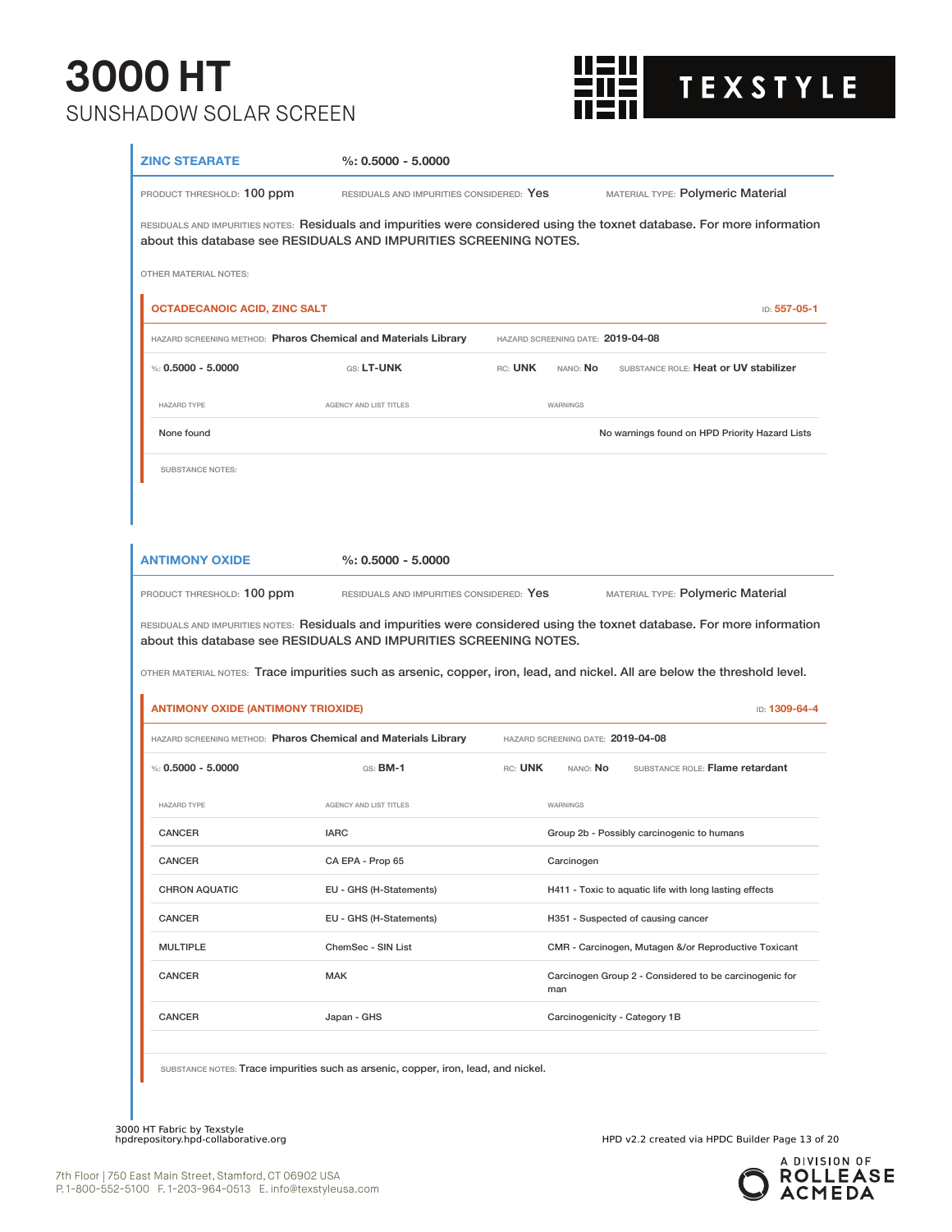

| PRODUCT THRESHOLD: 100 ppm<br>RESIDUALS AND IMPURITIES CONSIDERED: Yes<br>MATERIAL TYPE: Polymeric Material<br>RESIDUALS AND IMPURITIES NOTES: Residuals and impurities were considered using the toxnet database. For more information<br>about this database see RESIDUALS AND IMPURITIES SCREENING NOTES.<br>OTHER MATERIAL NOTES:<br><b>OCTADECANOIC ACID, ZINC SALT</b><br>ID: 557-05-1<br>HAZARD SCREENING METHOD: Pharos Chemical and Materials Library<br>HAZARD SCREENING DATE: 2019-04-08<br>%: $0.5000 - 5.0000$<br>GS: LT-UNK<br>SUBSTANCE ROLE: Heat or UV stabilizer<br>RC: UNK<br>NANO: No<br><b>HAZARD TYPE</b><br>AGENCY AND LIST TITLES<br>WARNINGS<br>None found<br>No warnings found on HPD Priority Hazard Lists<br><b>SUBSTANCE NOTES:</b><br><b>ANTIMONY OXIDE</b><br>$%: 0.5000 - 5.0000$<br>MATERIAL TYPE: Polymeric Material<br>PRODUCT THRESHOLD: 100 ppm<br>RESIDUALS AND IMPURITIES CONSIDERED: Yes<br>RESIDUALS AND IMPURITIES NOTES: Residuals and impurities were considered using the toxnet database. For more information<br>about this database see RESIDUALS AND IMPURITIES SCREENING NOTES.<br>OTHER MATERIAL NOTES: Trace impurities such as arsenic, copper, iron, lead, and nickel. All are below the threshold level.<br><b>ANTIMONY OXIDE (ANTIMONY TRIOXIDE)</b><br>ID: 1309-64-4<br>HAZARD SCREENING METHOD: Pharos Chemical and Materials Library<br>HAZARD SCREENING DATE: 2019-04-08<br>%: $0.5000 - 5.0000$<br>RC: UNK<br>SUBSTANCE ROLE: Flame retardant<br>$GS:$ BM-1<br>NANO: No<br>AGENCY AND LIST TITLES<br><b>HAZARD TYPE</b><br><b>WARNINGS</b><br>CANCER<br><b>IARC</b><br>Group 2b - Possibly carcinogenic to humans<br><b>CANCER</b><br>CA EPA - Prop 65<br>Carcinogen<br><b>CHRON AQUATIC</b><br>EU - GHS (H-Statements)<br>H411 - Toxic to aquatic life with long lasting effects<br>CANCER<br>EU - GHS (H-Statements)<br>H351 - Suspected of causing cancer<br><b>MULTIPLE</b><br>ChemSec - SIN List<br>CMR - Carcinogen, Mutagen &/or Reproductive Toxicant<br>CANCER<br>MAK<br>Carcinogen Group 2 - Considered to be carcinogenic for<br>man<br>CANCER<br>Japan - GHS<br>Carcinogenicity - Category 1B<br>SUBSTANCE NOTES: Trace impurities such as arsenic, copper, iron, lead, and nickel. | <b>ZINC STEARATE</b> | $\%: 0.5000 - 5.0000$ |  |  |
|--------------------------------------------------------------------------------------------------------------------------------------------------------------------------------------------------------------------------------------------------------------------------------------------------------------------------------------------------------------------------------------------------------------------------------------------------------------------------------------------------------------------------------------------------------------------------------------------------------------------------------------------------------------------------------------------------------------------------------------------------------------------------------------------------------------------------------------------------------------------------------------------------------------------------------------------------------------------------------------------------------------------------------------------------------------------------------------------------------------------------------------------------------------------------------------------------------------------------------------------------------------------------------------------------------------------------------------------------------------------------------------------------------------------------------------------------------------------------------------------------------------------------------------------------------------------------------------------------------------------------------------------------------------------------------------------------------------------------------------------------------------------------------------------------------------------------------------------------------------------------------------------------------------------------------------------------------------------------------------------------------------------------------------------------------------------------------------------------------------------------------------------------------------------------------------------------------------------------------------------------------------|----------------------|-----------------------|--|--|
|                                                                                                                                                                                                                                                                                                                                                                                                                                                                                                                                                                                                                                                                                                                                                                                                                                                                                                                                                                                                                                                                                                                                                                                                                                                                                                                                                                                                                                                                                                                                                                                                                                                                                                                                                                                                                                                                                                                                                                                                                                                                                                                                                                                                                                                              |                      |                       |  |  |
|                                                                                                                                                                                                                                                                                                                                                                                                                                                                                                                                                                                                                                                                                                                                                                                                                                                                                                                                                                                                                                                                                                                                                                                                                                                                                                                                                                                                                                                                                                                                                                                                                                                                                                                                                                                                                                                                                                                                                                                                                                                                                                                                                                                                                                                              |                      |                       |  |  |
|                                                                                                                                                                                                                                                                                                                                                                                                                                                                                                                                                                                                                                                                                                                                                                                                                                                                                                                                                                                                                                                                                                                                                                                                                                                                                                                                                                                                                                                                                                                                                                                                                                                                                                                                                                                                                                                                                                                                                                                                                                                                                                                                                                                                                                                              |                      |                       |  |  |
|                                                                                                                                                                                                                                                                                                                                                                                                                                                                                                                                                                                                                                                                                                                                                                                                                                                                                                                                                                                                                                                                                                                                                                                                                                                                                                                                                                                                                                                                                                                                                                                                                                                                                                                                                                                                                                                                                                                                                                                                                                                                                                                                                                                                                                                              |                      |                       |  |  |
|                                                                                                                                                                                                                                                                                                                                                                                                                                                                                                                                                                                                                                                                                                                                                                                                                                                                                                                                                                                                                                                                                                                                                                                                                                                                                                                                                                                                                                                                                                                                                                                                                                                                                                                                                                                                                                                                                                                                                                                                                                                                                                                                                                                                                                                              |                      |                       |  |  |
|                                                                                                                                                                                                                                                                                                                                                                                                                                                                                                                                                                                                                                                                                                                                                                                                                                                                                                                                                                                                                                                                                                                                                                                                                                                                                                                                                                                                                                                                                                                                                                                                                                                                                                                                                                                                                                                                                                                                                                                                                                                                                                                                                                                                                                                              |                      |                       |  |  |
|                                                                                                                                                                                                                                                                                                                                                                                                                                                                                                                                                                                                                                                                                                                                                                                                                                                                                                                                                                                                                                                                                                                                                                                                                                                                                                                                                                                                                                                                                                                                                                                                                                                                                                                                                                                                                                                                                                                                                                                                                                                                                                                                                                                                                                                              |                      |                       |  |  |
|                                                                                                                                                                                                                                                                                                                                                                                                                                                                                                                                                                                                                                                                                                                                                                                                                                                                                                                                                                                                                                                                                                                                                                                                                                                                                                                                                                                                                                                                                                                                                                                                                                                                                                                                                                                                                                                                                                                                                                                                                                                                                                                                                                                                                                                              |                      |                       |  |  |
|                                                                                                                                                                                                                                                                                                                                                                                                                                                                                                                                                                                                                                                                                                                                                                                                                                                                                                                                                                                                                                                                                                                                                                                                                                                                                                                                                                                                                                                                                                                                                                                                                                                                                                                                                                                                                                                                                                                                                                                                                                                                                                                                                                                                                                                              |                      |                       |  |  |
|                                                                                                                                                                                                                                                                                                                                                                                                                                                                                                                                                                                                                                                                                                                                                                                                                                                                                                                                                                                                                                                                                                                                                                                                                                                                                                                                                                                                                                                                                                                                                                                                                                                                                                                                                                                                                                                                                                                                                                                                                                                                                                                                                                                                                                                              |                      |                       |  |  |
|                                                                                                                                                                                                                                                                                                                                                                                                                                                                                                                                                                                                                                                                                                                                                                                                                                                                                                                                                                                                                                                                                                                                                                                                                                                                                                                                                                                                                                                                                                                                                                                                                                                                                                                                                                                                                                                                                                                                                                                                                                                                                                                                                                                                                                                              |                      |                       |  |  |
|                                                                                                                                                                                                                                                                                                                                                                                                                                                                                                                                                                                                                                                                                                                                                                                                                                                                                                                                                                                                                                                                                                                                                                                                                                                                                                                                                                                                                                                                                                                                                                                                                                                                                                                                                                                                                                                                                                                                                                                                                                                                                                                                                                                                                                                              |                      |                       |  |  |
|                                                                                                                                                                                                                                                                                                                                                                                                                                                                                                                                                                                                                                                                                                                                                                                                                                                                                                                                                                                                                                                                                                                                                                                                                                                                                                                                                                                                                                                                                                                                                                                                                                                                                                                                                                                                                                                                                                                                                                                                                                                                                                                                                                                                                                                              |                      |                       |  |  |
|                                                                                                                                                                                                                                                                                                                                                                                                                                                                                                                                                                                                                                                                                                                                                                                                                                                                                                                                                                                                                                                                                                                                                                                                                                                                                                                                                                                                                                                                                                                                                                                                                                                                                                                                                                                                                                                                                                                                                                                                                                                                                                                                                                                                                                                              |                      |                       |  |  |
|                                                                                                                                                                                                                                                                                                                                                                                                                                                                                                                                                                                                                                                                                                                                                                                                                                                                                                                                                                                                                                                                                                                                                                                                                                                                                                                                                                                                                                                                                                                                                                                                                                                                                                                                                                                                                                                                                                                                                                                                                                                                                                                                                                                                                                                              |                      |                       |  |  |
|                                                                                                                                                                                                                                                                                                                                                                                                                                                                                                                                                                                                                                                                                                                                                                                                                                                                                                                                                                                                                                                                                                                                                                                                                                                                                                                                                                                                                                                                                                                                                                                                                                                                                                                                                                                                                                                                                                                                                                                                                                                                                                                                                                                                                                                              |                      |                       |  |  |
|                                                                                                                                                                                                                                                                                                                                                                                                                                                                                                                                                                                                                                                                                                                                                                                                                                                                                                                                                                                                                                                                                                                                                                                                                                                                                                                                                                                                                                                                                                                                                                                                                                                                                                                                                                                                                                                                                                                                                                                                                                                                                                                                                                                                                                                              |                      |                       |  |  |
|                                                                                                                                                                                                                                                                                                                                                                                                                                                                                                                                                                                                                                                                                                                                                                                                                                                                                                                                                                                                                                                                                                                                                                                                                                                                                                                                                                                                                                                                                                                                                                                                                                                                                                                                                                                                                                                                                                                                                                                                                                                                                                                                                                                                                                                              |                      |                       |  |  |
|                                                                                                                                                                                                                                                                                                                                                                                                                                                                                                                                                                                                                                                                                                                                                                                                                                                                                                                                                                                                                                                                                                                                                                                                                                                                                                                                                                                                                                                                                                                                                                                                                                                                                                                                                                                                                                                                                                                                                                                                                                                                                                                                                                                                                                                              |                      |                       |  |  |
|                                                                                                                                                                                                                                                                                                                                                                                                                                                                                                                                                                                                                                                                                                                                                                                                                                                                                                                                                                                                                                                                                                                                                                                                                                                                                                                                                                                                                                                                                                                                                                                                                                                                                                                                                                                                                                                                                                                                                                                                                                                                                                                                                                                                                                                              |                      |                       |  |  |
|                                                                                                                                                                                                                                                                                                                                                                                                                                                                                                                                                                                                                                                                                                                                                                                                                                                                                                                                                                                                                                                                                                                                                                                                                                                                                                                                                                                                                                                                                                                                                                                                                                                                                                                                                                                                                                                                                                                                                                                                                                                                                                                                                                                                                                                              |                      |                       |  |  |
|                                                                                                                                                                                                                                                                                                                                                                                                                                                                                                                                                                                                                                                                                                                                                                                                                                                                                                                                                                                                                                                                                                                                                                                                                                                                                                                                                                                                                                                                                                                                                                                                                                                                                                                                                                                                                                                                                                                                                                                                                                                                                                                                                                                                                                                              |                      |                       |  |  |
|                                                                                                                                                                                                                                                                                                                                                                                                                                                                                                                                                                                                                                                                                                                                                                                                                                                                                                                                                                                                                                                                                                                                                                                                                                                                                                                                                                                                                                                                                                                                                                                                                                                                                                                                                                                                                                                                                                                                                                                                                                                                                                                                                                                                                                                              |                      |                       |  |  |
|                                                                                                                                                                                                                                                                                                                                                                                                                                                                                                                                                                                                                                                                                                                                                                                                                                                                                                                                                                                                                                                                                                                                                                                                                                                                                                                                                                                                                                                                                                                                                                                                                                                                                                                                                                                                                                                                                                                                                                                                                                                                                                                                                                                                                                                              |                      |                       |  |  |
|                                                                                                                                                                                                                                                                                                                                                                                                                                                                                                                                                                                                                                                                                                                                                                                                                                                                                                                                                                                                                                                                                                                                                                                                                                                                                                                                                                                                                                                                                                                                                                                                                                                                                                                                                                                                                                                                                                                                                                                                                                                                                                                                                                                                                                                              |                      |                       |  |  |
|                                                                                                                                                                                                                                                                                                                                                                                                                                                                                                                                                                                                                                                                                                                                                                                                                                                                                                                                                                                                                                                                                                                                                                                                                                                                                                                                                                                                                                                                                                                                                                                                                                                                                                                                                                                                                                                                                                                                                                                                                                                                                                                                                                                                                                                              |                      |                       |  |  |
|                                                                                                                                                                                                                                                                                                                                                                                                                                                                                                                                                                                                                                                                                                                                                                                                                                                                                                                                                                                                                                                                                                                                                                                                                                                                                                                                                                                                                                                                                                                                                                                                                                                                                                                                                                                                                                                                                                                                                                                                                                                                                                                                                                                                                                                              |                      |                       |  |  |
|                                                                                                                                                                                                                                                                                                                                                                                                                                                                                                                                                                                                                                                                                                                                                                                                                                                                                                                                                                                                                                                                                                                                                                                                                                                                                                                                                                                                                                                                                                                                                                                                                                                                                                                                                                                                                                                                                                                                                                                                                                                                                                                                                                                                                                                              |                      |                       |  |  |
|                                                                                                                                                                                                                                                                                                                                                                                                                                                                                                                                                                                                                                                                                                                                                                                                                                                                                                                                                                                                                                                                                                                                                                                                                                                                                                                                                                                                                                                                                                                                                                                                                                                                                                                                                                                                                                                                                                                                                                                                                                                                                                                                                                                                                                                              |                      |                       |  |  |
|                                                                                                                                                                                                                                                                                                                                                                                                                                                                                                                                                                                                                                                                                                                                                                                                                                                                                                                                                                                                                                                                                                                                                                                                                                                                                                                                                                                                                                                                                                                                                                                                                                                                                                                                                                                                                                                                                                                                                                                                                                                                                                                                                                                                                                                              |                      |                       |  |  |
|                                                                                                                                                                                                                                                                                                                                                                                                                                                                                                                                                                                                                                                                                                                                                                                                                                                                                                                                                                                                                                                                                                                                                                                                                                                                                                                                                                                                                                                                                                                                                                                                                                                                                                                                                                                                                                                                                                                                                                                                                                                                                                                                                                                                                                                              |                      |                       |  |  |
|                                                                                                                                                                                                                                                                                                                                                                                                                                                                                                                                                                                                                                                                                                                                                                                                                                                                                                                                                                                                                                                                                                                                                                                                                                                                                                                                                                                                                                                                                                                                                                                                                                                                                                                                                                                                                                                                                                                                                                                                                                                                                                                                                                                                                                                              |                      |                       |  |  |
|                                                                                                                                                                                                                                                                                                                                                                                                                                                                                                                                                                                                                                                                                                                                                                                                                                                                                                                                                                                                                                                                                                                                                                                                                                                                                                                                                                                                                                                                                                                                                                                                                                                                                                                                                                                                                                                                                                                                                                                                                                                                                                                                                                                                                                                              |                      |                       |  |  |
|                                                                                                                                                                                                                                                                                                                                                                                                                                                                                                                                                                                                                                                                                                                                                                                                                                                                                                                                                                                                                                                                                                                                                                                                                                                                                                                                                                                                                                                                                                                                                                                                                                                                                                                                                                                                                                                                                                                                                                                                                                                                                                                                                                                                                                                              |                      |                       |  |  |
|                                                                                                                                                                                                                                                                                                                                                                                                                                                                                                                                                                                                                                                                                                                                                                                                                                                                                                                                                                                                                                                                                                                                                                                                                                                                                                                                                                                                                                                                                                                                                                                                                                                                                                                                                                                                                                                                                                                                                                                                                                                                                                                                                                                                                                                              |                      |                       |  |  |

3000 HT Fabric by Texstyle<br>hpdrepository.hpd-collaborative.org

HPD v2.2 created via HPDC Builder Page 13 of 20



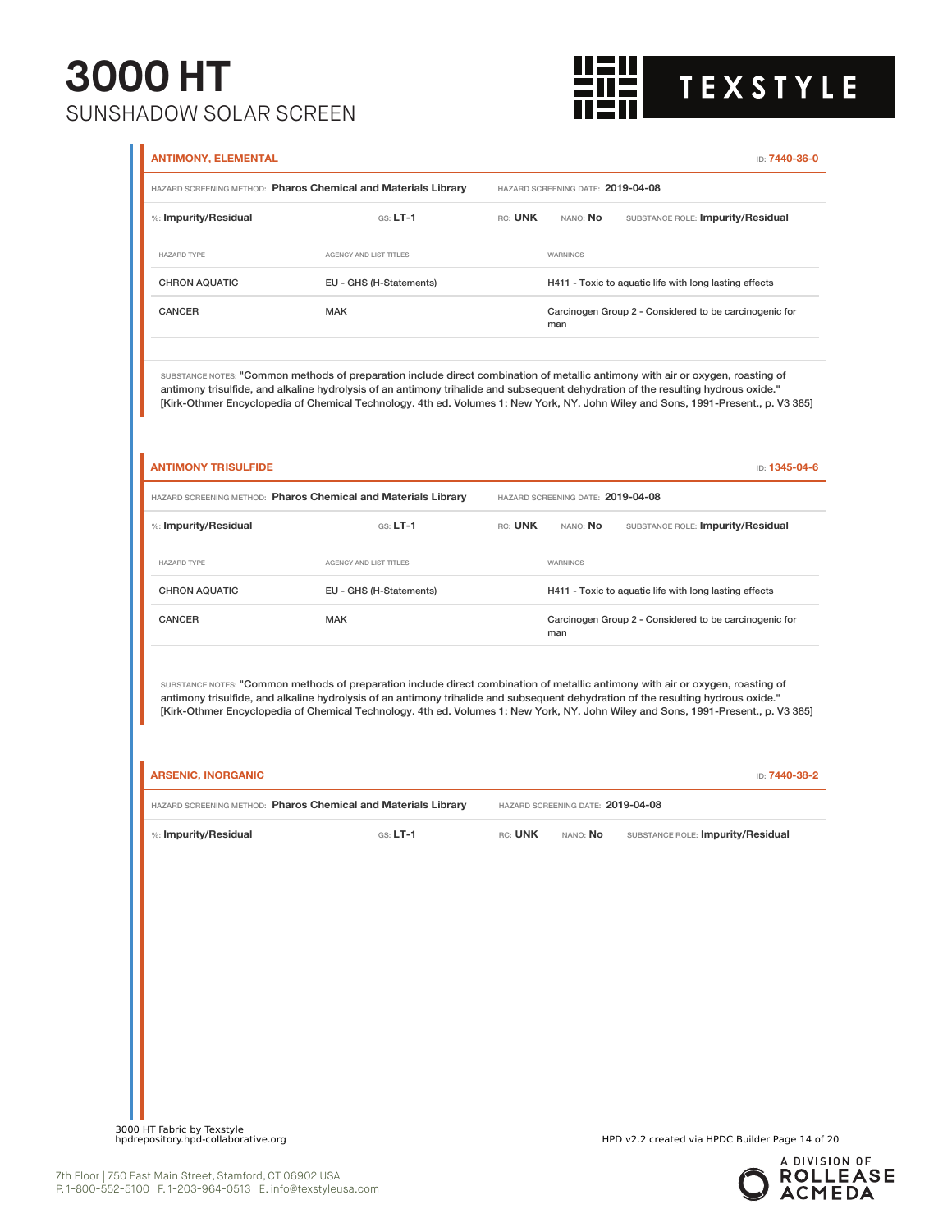

| <b>ANTIMONY, ELEMENTAL</b> |                                                                                                                                                                                                                                                                      |         |                                   |                                                                                                                                   |
|----------------------------|----------------------------------------------------------------------------------------------------------------------------------------------------------------------------------------------------------------------------------------------------------------------|---------|-----------------------------------|-----------------------------------------------------------------------------------------------------------------------------------|
|                            | HAZARD SCREENING METHOD: Pharos Chemical and Materials Library                                                                                                                                                                                                       |         | HAZARD SCREENING DATE: 2019-04-08 |                                                                                                                                   |
| %: Impurity/Residual       | $GS: LT-1$                                                                                                                                                                                                                                                           | RC: UNK | NANO: No                          | SUBSTANCE ROLE: Impurity/Residual                                                                                                 |
| <b>HAZARD TYPE</b>         | AGENCY AND LIST TITLES                                                                                                                                                                                                                                               |         | WARNINGS                          |                                                                                                                                   |
| <b>CHRON AQUATIC</b>       | EU - GHS (H-Statements)                                                                                                                                                                                                                                              |         |                                   | H411 - Toxic to aquatic life with long lasting effects                                                                            |
| CANCER                     | <b>MAK</b>                                                                                                                                                                                                                                                           |         | man                               | Carcinogen Group 2 - Considered to be carcinogenic for                                                                            |
|                            | SUBSTANCE NOTES: "Common methods of preparation include direct combination of metallic antimony with air or oxygen, roasting of<br>antimony trisulfide, and alkaline hydrolysis of an antimony trihalide and subsequent dehydration of the resulting hydrous oxide." |         |                                   | [Kirk-Othmer Encyclopedia of Chemical Technology. 4th ed. Volumes 1: New York, NY. John Wiley and Sons, 1991-Present., p. V3 385] |
| <b>ANTIMONY TRISULFIDE</b> |                                                                                                                                                                                                                                                                      |         |                                   | ID: 1345-04-6                                                                                                                     |
|                            | HAZARD SCREENING METHOD: Pharos Chemical and Materials Library                                                                                                                                                                                                       |         | HAZARD SCREENING DATE: 2019-04-08 |                                                                                                                                   |
| %: Impurity/Residual       | $GS: LT-1$                                                                                                                                                                                                                                                           | RC: UNK | NANO: No                          | SUBSTANCE ROLE: Impurity/Residual                                                                                                 |
| <b>HAZARD TYPE</b>         | AGENCY AND LIST TITLES                                                                                                                                                                                                                                               |         | <b>WARNINGS</b>                   |                                                                                                                                   |
| <b>CHRON AQUATIC</b>       | EU - GHS (H-Statements)                                                                                                                                                                                                                                              |         |                                   | H411 - Toxic to aquatic life with long lasting effects                                                                            |
| <b>CANCER</b>              | <b>MAK</b>                                                                                                                                                                                                                                                           |         | man                               | Carcinogen Group 2 - Considered to be carcinogenic for                                                                            |
|                            | SUBSTANCE NOTES: "Common methods of preparation include direct combination of metallic antimony with air or oxygen, roasting of<br>antimony trisulfide, and alkaline hydrolysis of an antimony trihalide and subsequent dehydration of the resulting hydrous oxide." |         |                                   | [Kirk-Othmer Encyclopedia of Chemical Technology. 4th ed. Volumes 1: New York, NY. John Wiley and Sons, 1991-Present., p. V3 385] |
| <b>ARSENIC, INORGANIC</b>  |                                                                                                                                                                                                                                                                      |         |                                   | ID: 7440-38-2                                                                                                                     |
|                            | HAZARD SCREENING METHOD: Pharos Chemical and Materials Library                                                                                                                                                                                                       |         | HAZARD SCREENING DATE: 2019-04-08 |                                                                                                                                   |
| %: Impurity/Residual       | $G.S. LT-1$                                                                                                                                                                                                                                                          | RC: UNK | NANO: No                          | SUBSTANCE ROLE: Impurity/Residual                                                                                                 |
|                            |                                                                                                                                                                                                                                                                      |         |                                   |                                                                                                                                   |
|                            |                                                                                                                                                                                                                                                                      |         |                                   |                                                                                                                                   |
|                            |                                                                                                                                                                                                                                                                      |         |                                   |                                                                                                                                   |
|                            |                                                                                                                                                                                                                                                                      |         |                                   |                                                                                                                                   |
|                            |                                                                                                                                                                                                                                                                      |         |                                   |                                                                                                                                   |

3000 HT Fabric by Texstyle<br>hpdrepository.hpd-collaborative.org

HPD v2.2 created via HPDC Builder Page 14 of 20

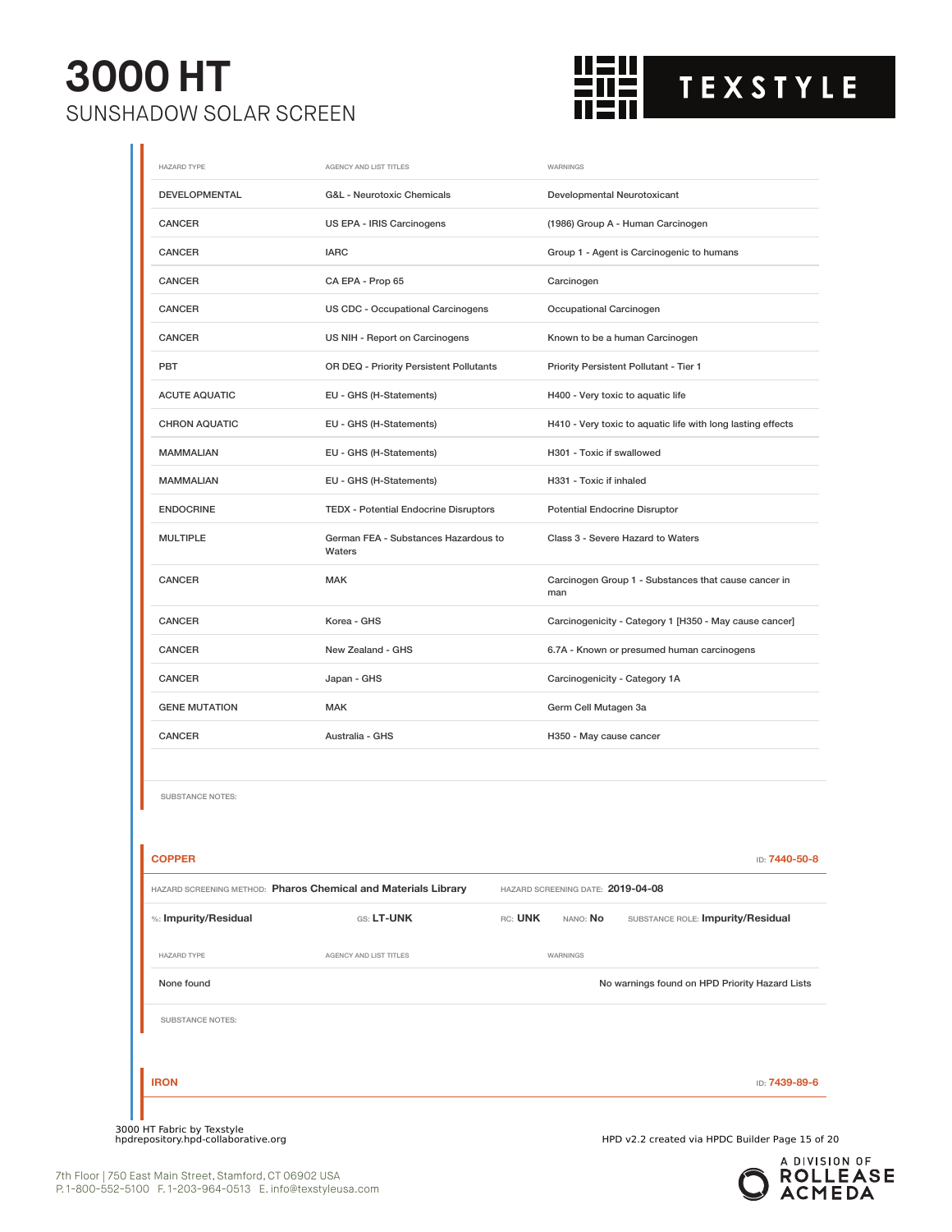

| <b>HAZARD TYPE</b>                | AGENCY AND LIST TITLES                                         |                                                             | WARNINGS                               |                                                             |  |
|-----------------------------------|----------------------------------------------------------------|-------------------------------------------------------------|----------------------------------------|-------------------------------------------------------------|--|
| DEVELOPMENTAL                     | G&L - Neurotoxic Chemicals                                     |                                                             | Developmental Neurotoxicant            |                                                             |  |
| CANCER                            | US EPA - IRIS Carcinogens                                      |                                                             | (1986) Group A - Human Carcinogen      |                                                             |  |
| CANCER                            | <b>IARC</b>                                                    |                                                             |                                        | Group 1 - Agent is Carcinogenic to humans                   |  |
| <b>CANCER</b>                     | CA EPA - Prop 65                                               |                                                             | Carcinogen                             |                                                             |  |
| <b>CANCER</b>                     | US CDC - Occupational Carcinogens                              |                                                             | Occupational Carcinogen                |                                                             |  |
| <b>CANCER</b>                     | US NIH - Report on Carcinogens                                 |                                                             |                                        | Known to be a human Carcinogen                              |  |
| PBT                               | OR DEQ - Priority Persistent Pollutants                        |                                                             | Priority Persistent Pollutant - Tier 1 |                                                             |  |
| <b>ACUTE AQUATIC</b>              | EU - GHS (H-Statements)                                        |                                                             | H400 - Very toxic to aquatic life      |                                                             |  |
| <b>CHRON AQUATIC</b>              | EU - GHS (H-Statements)                                        |                                                             |                                        | H410 - Very toxic to aquatic life with long lasting effects |  |
| <b>MAMMALIAN</b>                  | EU - GHS (H-Statements)                                        |                                                             | H301 - Toxic if swallowed              |                                                             |  |
| <b>MAMMALIAN</b>                  | EU - GHS (H-Statements)                                        |                                                             | H331 - Toxic if inhaled                |                                                             |  |
| <b>ENDOCRINE</b>                  | <b>TEDX - Potential Endocrine Disruptors</b>                   |                                                             | Potential Endocrine Disruptor          |                                                             |  |
| <b>MULTIPLE</b>                   | German FEA - Substances Hazardous to<br>Waters                 | Class 3 - Severe Hazard to Waters                           |                                        |                                                             |  |
| CANCER                            | <b>MAK</b>                                                     | Carcinogen Group 1 - Substances that cause cancer in<br>man |                                        |                                                             |  |
| CANCER                            | Korea - GHS                                                    |                                                             |                                        | Carcinogenicity - Category 1 [H350 - May cause cancer]      |  |
| CANCER                            | New Zealand - GHS                                              |                                                             |                                        | 6.7A - Known or presumed human carcinogens                  |  |
| <b>CANCER</b>                     | Japan - GHS                                                    |                                                             | Carcinogenicity - Category 1A          |                                                             |  |
| <b>GENE MUTATION</b>              | <b>MAK</b>                                                     |                                                             | Germ Cell Mutagen 3a                   |                                                             |  |
| CANCER                            | Australia - GHS                                                |                                                             | H350 - May cause cancer                |                                                             |  |
| SUBSTANCE NOTES:<br><b>COPPER</b> |                                                                |                                                             |                                        | ID: 7440-50-8                                               |  |
|                                   | HAZARD SCREENING METHOD: Pharos Chemical and Materials Library |                                                             | HAZARD SCREENING DATE: 2019-04-08      |                                                             |  |
| %: Impurity/Residual              | GS: LT-UNK                                                     | RC: UNK                                                     | NANO: No                               | SUBSTANCE ROLE: Impurity/Residual                           |  |
| <b>HAZARD TYPE</b>                | AGENCY AND LIST TITLES                                         |                                                             | WARNINGS                               |                                                             |  |
| None found                        |                                                                |                                                             |                                        | No warnings found on HPD Priority Hazard Lists              |  |
|                                   |                                                                |                                                             |                                        |                                                             |  |
| <b>SUBSTANCE NOTES:</b>           |                                                                |                                                             |                                        |                                                             |  |

A DIVISION OF<br>**ROLLEASE**<br>**ACMEDA**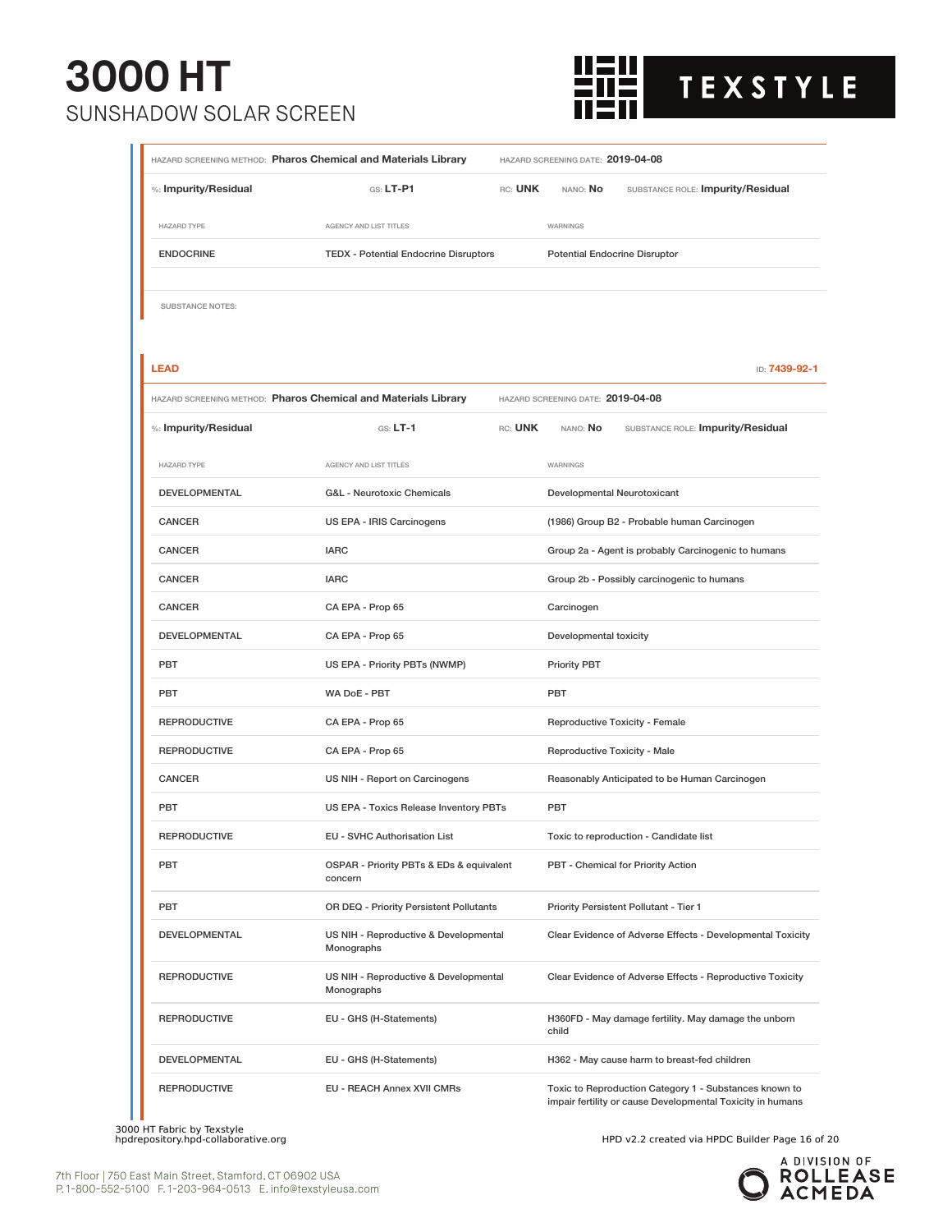

| HAZARD SCREENING METHOD: Pharos Chemical and Materials Library |                                                                | HAZARD SCREENING DATE: 2019-04-08        |                                                               |                                                                                                                      |  |
|----------------------------------------------------------------|----------------------------------------------------------------|------------------------------------------|---------------------------------------------------------------|----------------------------------------------------------------------------------------------------------------------|--|
| %: Impurity/Residual                                           | $GS: LT-P1$                                                    | RC: UNK                                  | NANO: No                                                      | SUBSTANCE ROLE: Impurity/Residual                                                                                    |  |
| <b>HAZARD TYPE</b>                                             | AGENCY AND LIST TITLES                                         |                                          | WARNINGS                                                      |                                                                                                                      |  |
| <b>ENDOCRINE</b>                                               | <b>TEDX</b> - Potential Endocrine Disruptors                   |                                          | <b>Potential Endocrine Disruptor</b>                          |                                                                                                                      |  |
|                                                                |                                                                |                                          |                                                               |                                                                                                                      |  |
| SUBSTANCE NOTES:                                               |                                                                |                                          |                                                               |                                                                                                                      |  |
|                                                                |                                                                |                                          |                                                               |                                                                                                                      |  |
| <b>LEAD</b>                                                    |                                                                |                                          |                                                               | ID: 7439-92-1                                                                                                        |  |
|                                                                | HAZARD SCREENING METHOD: Pharos Chemical and Materials Library |                                          | HAZARD SCREENING DATE: 2019-04-08                             |                                                                                                                      |  |
| %: Impurity/Residual                                           | $GS: LT-1$                                                     | RC: UNK                                  | NANO: No                                                      | SUBSTANCE ROLE: Impurity/Residual                                                                                    |  |
| <b>HAZARD TYPE</b>                                             | AGENCY AND LIST TITLES                                         |                                          | WARNINGS                                                      |                                                                                                                      |  |
| <b>DEVELOPMENTAL</b>                                           | G&L - Neurotoxic Chemicals                                     |                                          | Developmental Neurotoxicant                                   |                                                                                                                      |  |
| <b>CANCER</b>                                                  | US EPA - IRIS Carcinogens                                      |                                          |                                                               | (1986) Group B2 - Probable human Carcinogen                                                                          |  |
| <b>CANCER</b>                                                  | <b>IARC</b>                                                    |                                          |                                                               | Group 2a - Agent is probably Carcinogenic to humans                                                                  |  |
| <b>CANCER</b>                                                  | <b>IARC</b>                                                    |                                          |                                                               | Group 2b - Possibly carcinogenic to humans                                                                           |  |
| <b>CANCER</b>                                                  | CA EPA - Prop 65                                               |                                          |                                                               |                                                                                                                      |  |
| <b>DEVELOPMENTAL</b>                                           | CA EPA - Prop 65                                               |                                          |                                                               | Developmental toxicity                                                                                               |  |
| PBT                                                            | US EPA - Priority PBTs (NWMP)                                  |                                          |                                                               |                                                                                                                      |  |
| PBT                                                            | WA DoE - PBT                                                   |                                          |                                                               |                                                                                                                      |  |
| <b>REPRODUCTIVE</b>                                            | CA EPA - Prop 65                                               |                                          |                                                               | Reproductive Toxicity - Female                                                                                       |  |
| <b>REPRODUCTIVE</b>                                            | CA EPA - Prop 65                                               |                                          | Reproductive Toxicity - Male                                  |                                                                                                                      |  |
| <b>CANCER</b>                                                  | US NIH - Report on Carcinogens                                 |                                          |                                                               | Reasonably Anticipated to be Human Carcinogen                                                                        |  |
| <b>PBT</b>                                                     | US EPA - Toxics Release Inventory PBTs                         |                                          | PBT                                                           |                                                                                                                      |  |
| <b>REPRODUCTIVE</b>                                            | <b>EU - SVHC Authorisation List</b>                            |                                          |                                                               | Toxic to reproduction - Candidate list                                                                               |  |
| PBT                                                            | concern                                                        | OSPAR - Priority PBTs & EDs & equivalent |                                                               | PBT - Chemical for Priority Action                                                                                   |  |
| <b>PBT</b>                                                     |                                                                | OR DEQ - Priority Persistent Pollutants  |                                                               | Priority Persistent Pollutant - Tier 1                                                                               |  |
| DEVELOPMENTAL                                                  | Monographs                                                     | US NIH - Reproductive & Developmental    |                                                               | Clear Evidence of Adverse Effects - Developmental Toxicity                                                           |  |
| <b>REPRODUCTIVE</b>                                            | Monographs                                                     | US NIH - Reproductive & Developmental    |                                                               | Clear Evidence of Adverse Effects - Reproductive Toxicity                                                            |  |
| <b>REPRODUCTIVE</b>                                            | EU - GHS (H-Statements)                                        |                                          | H360FD - May damage fertility. May damage the unborn<br>child |                                                                                                                      |  |
| DEVELOPMENTAL                                                  | EU - GHS (H-Statements)                                        |                                          |                                                               | H362 - May cause harm to breast-fed children                                                                         |  |
| <b>REPRODUCTIVE</b>                                            | <b>EU - REACH Annex XVII CMRs</b>                              |                                          |                                                               | Toxic to Reproduction Category 1 - Substances known to<br>impair fertility or cause Developmental Toxicity in humans |  |

3000 HT Fabric by Texstyle<br>hpdrepository.hpd-collaborative.org

Ш

HPD v2.2 created via HPDC Builder Page 16 of 20

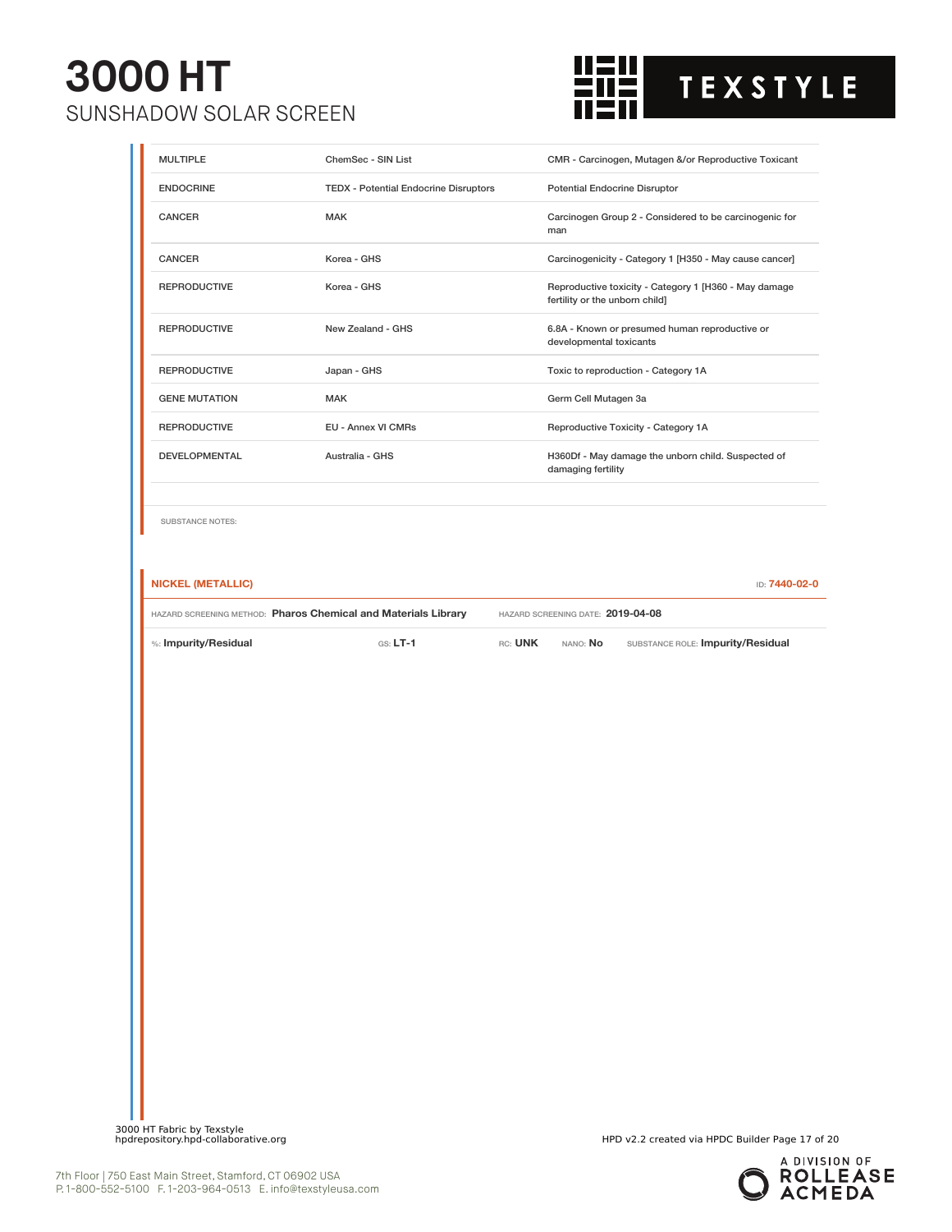

| <b>MULTIPLE</b>          | ChemSec - SIN List                                             |         |                                                                           | CMR - Carcinogen, Mutagen &/or Reproductive Toxicant   |  |
|--------------------------|----------------------------------------------------------------|---------|---------------------------------------------------------------------------|--------------------------------------------------------|--|
| <b>ENDOCRINE</b>         | <b>TEDX - Potential Endocrine Disruptors</b>                   |         | Potential Endocrine Disruptor                                             |                                                        |  |
| <b>CANCER</b>            | <b>MAK</b>                                                     |         | man                                                                       | Carcinogen Group 2 - Considered to be carcinogenic for |  |
| <b>CANCER</b>            | Korea - GHS                                                    |         |                                                                           | Carcinogenicity - Category 1 [H350 - May cause cancer] |  |
| <b>REPRODUCTIVE</b>      | Korea - GHS                                                    |         | fertility or the unborn child]                                            | Reproductive toxicity - Category 1 [H360 - May damage  |  |
| <b>REPRODUCTIVE</b>      | New Zealand - GHS                                              |         | 6.8A - Known or presumed human reproductive or<br>developmental toxicants |                                                        |  |
| <b>REPRODUCTIVE</b>      | Japan - GHS                                                    |         |                                                                           | Toxic to reproduction - Category 1A                    |  |
| <b>GENE MUTATION</b>     | <b>MAK</b>                                                     |         | Germ Cell Mutagen 3a                                                      |                                                        |  |
| <b>REPRODUCTIVE</b>      | EU - Annex VI CMRs                                             |         |                                                                           | Reproductive Toxicity - Category 1A                    |  |
| <b>DEVELOPMENTAL</b>     | Australia - GHS                                                |         | damaging fertility                                                        | H360Df - May damage the unborn child. Suspected of     |  |
| <b>SUBSTANCE NOTES:</b>  |                                                                |         |                                                                           |                                                        |  |
| <b>NICKEL (METALLIC)</b> |                                                                |         |                                                                           | ID: 7440-02-0                                          |  |
|                          | HAZARD SCREENING METHOD: Pharos Chemical and Materials Library |         | HAZARD SCREENING DATE: 2019-04-08                                         |                                                        |  |
| %: Impurity/Residual     | $GS: LT-1$                                                     | RC: UNK | nano: <b>No</b>                                                           | SUBSTANCE ROLE: Impurity/Residual                      |  |
|                          |                                                                |         |                                                                           |                                                        |  |
|                          |                                                                |         |                                                                           |                                                        |  |
|                          |                                                                |         |                                                                           |                                                        |  |
|                          |                                                                |         |                                                                           |                                                        |  |
|                          |                                                                |         |                                                                           |                                                        |  |
|                          |                                                                |         |                                                                           |                                                        |  |
|                          |                                                                |         |                                                                           |                                                        |  |
|                          |                                                                |         |                                                                           |                                                        |  |
|                          |                                                                |         |                                                                           |                                                        |  |
|                          |                                                                |         |                                                                           |                                                        |  |
|                          |                                                                |         |                                                                           |                                                        |  |
|                          |                                                                |         |                                                                           |                                                        |  |
|                          |                                                                |         |                                                                           |                                                        |  |
|                          |                                                                |         |                                                                           |                                                        |  |
|                          |                                                                |         |                                                                           |                                                        |  |
|                          |                                                                |         |                                                                           |                                                        |  |
|                          |                                                                |         |                                                                           |                                                        |  |

3000 HT Fabric by Texstyle<br>hpdrepository.hpd-collaborative.org

HPD v2.2 created via HPDC Builder Page 17 of 20

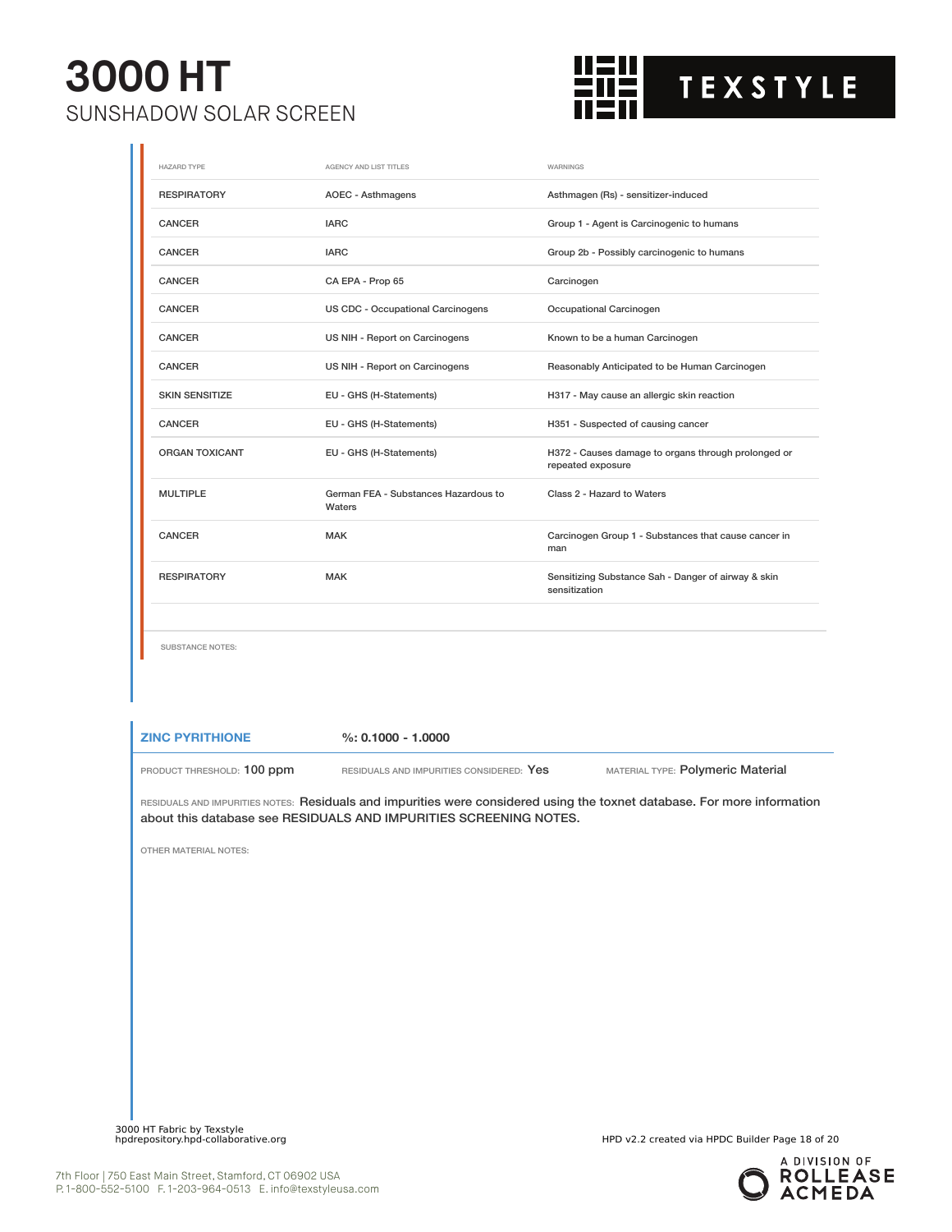

| <b>HAZARD TYPE</b>      | AGENCY AND LIST TITLES                         | WARNINGS                                                                 |
|-------------------------|------------------------------------------------|--------------------------------------------------------------------------|
| <b>RESPIRATORY</b>      | AOEC - Asthmagens                              | Asthmagen (Rs) - sensitizer-induced                                      |
| CANCER                  | <b>IARC</b>                                    | Group 1 - Agent is Carcinogenic to humans                                |
| CANCER                  | <b>IARC</b>                                    | Group 2b - Possibly carcinogenic to humans                               |
| CANCER                  | CA EPA - Prop 65                               | Carcinogen                                                               |
| <b>CANCER</b>           | US CDC - Occupational Carcinogens              | Occupational Carcinogen                                                  |
| CANCER                  | US NIH - Report on Carcinogens                 | Known to be a human Carcinogen                                           |
| <b>CANCER</b>           | US NIH - Report on Carcinogens                 | Reasonably Anticipated to be Human Carcinogen                            |
| <b>SKIN SENSITIZE</b>   | EU - GHS (H-Statements)                        | H317 - May cause an allergic skin reaction                               |
| CANCER                  | EU - GHS (H-Statements)                        | H351 - Suspected of causing cancer                                       |
| <b>ORGAN TOXICANT</b>   | EU - GHS (H-Statements)                        | H372 - Causes damage to organs through prolonged or<br>repeated exposure |
| <b>MULTIPLE</b>         | German FEA - Substances Hazardous to<br>Waters | Class 2 - Hazard to Waters                                               |
| <b>CANCER</b>           | <b>MAK</b>                                     | Carcinogen Group 1 - Substances that cause cancer in<br>man              |
| <b>RESPIRATORY</b>      | <b>MAK</b>                                     | Sensitizing Substance Sah - Danger of airway & skin<br>sensitization     |
| <b>SUBSTANCE NOTES:</b> |                                                |                                                                          |

#### **ZINC PYRITHIONE %: 0.1000 - 1.0000**

PRODUCT THRESHOLD: 100 ppm RESIDUALS AND IMPURITIES CONSIDERED: Yes MATERIAL TYPE: Polymeric Material

RESIDUALS AND IMPURITIES NOTES: Residuals and impurities were considered using the toxnet database. For more information about this database see RESIDUALS AND IMPURITIES SCREENING NOTES.

OTHER MATERIAL NOTES:

3000 HT Fabric by Texstyle<br>hpdrepository.hpd-collaborative.org

HPD v2.2 created via HPDC Builder Page 18 of 20

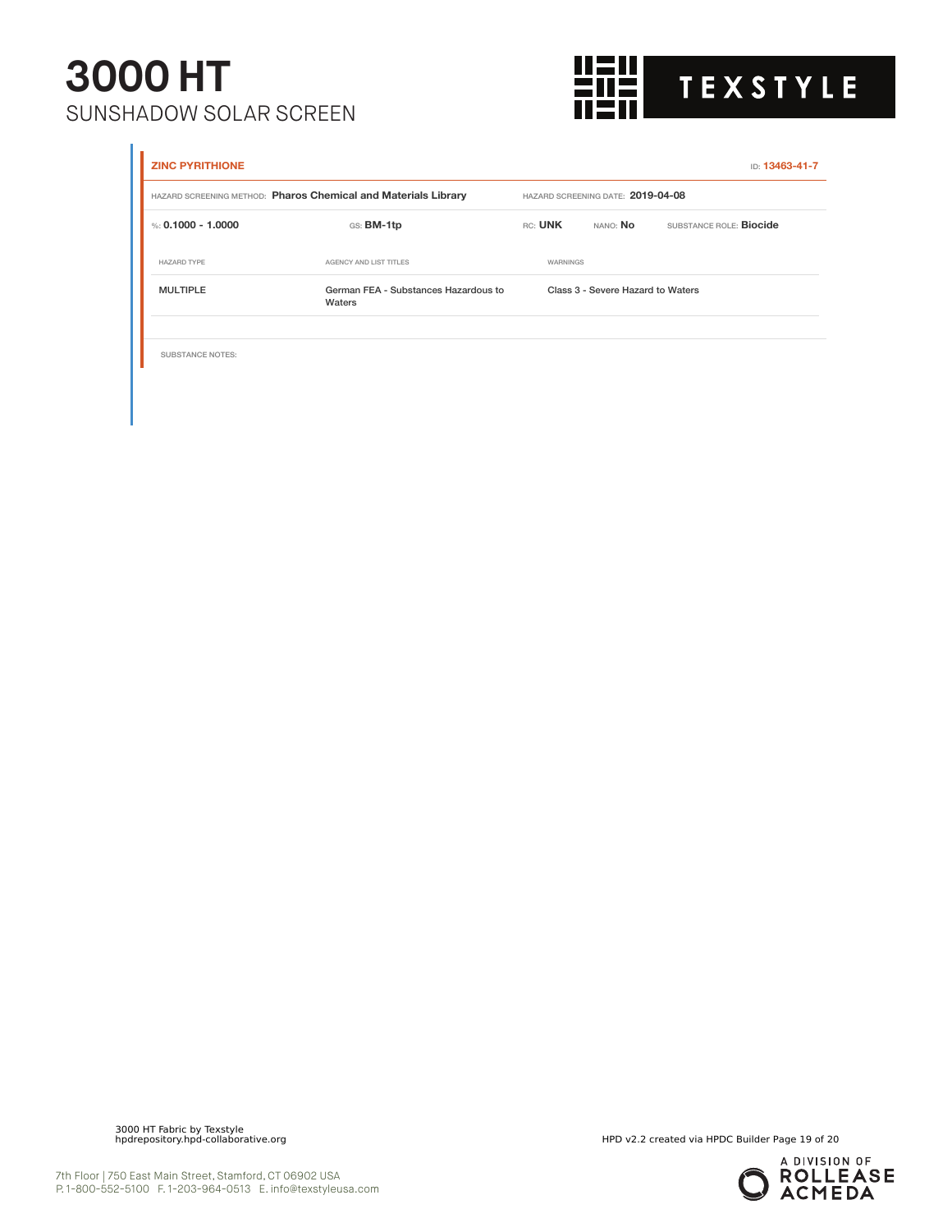

| <b>ZINC PYRITHIONE</b>  |                                                                |          |                                   | ID: 13463-41-7          |
|-------------------------|----------------------------------------------------------------|----------|-----------------------------------|-------------------------|
|                         | HAZARD SCREENING METHOD: Pharos Chemical and Materials Library |          | HAZARD SCREENING DATE: 2019-04-08 |                         |
| %: 0.1000 - 1.0000      | GS: BM-1tp                                                     | RC: UNK  | NANO: No                          | SUBSTANCE ROLE: Biocide |
| <b>HAZARD TYPE</b>      | AGENCY AND LIST TITLES                                         | WARNINGS |                                   |                         |
| <b>MULTIPLE</b>         | German FEA - Substances Hazardous to<br>Waters                 |          | Class 3 - Severe Hazard to Waters |                         |
|                         |                                                                |          |                                   |                         |
| <b>SUBSTANCE NOTES:</b> |                                                                |          |                                   |                         |

3000 HT Fabric by Texstyle

HPD v2.2 created via HPDC Builder Page 19 of 20

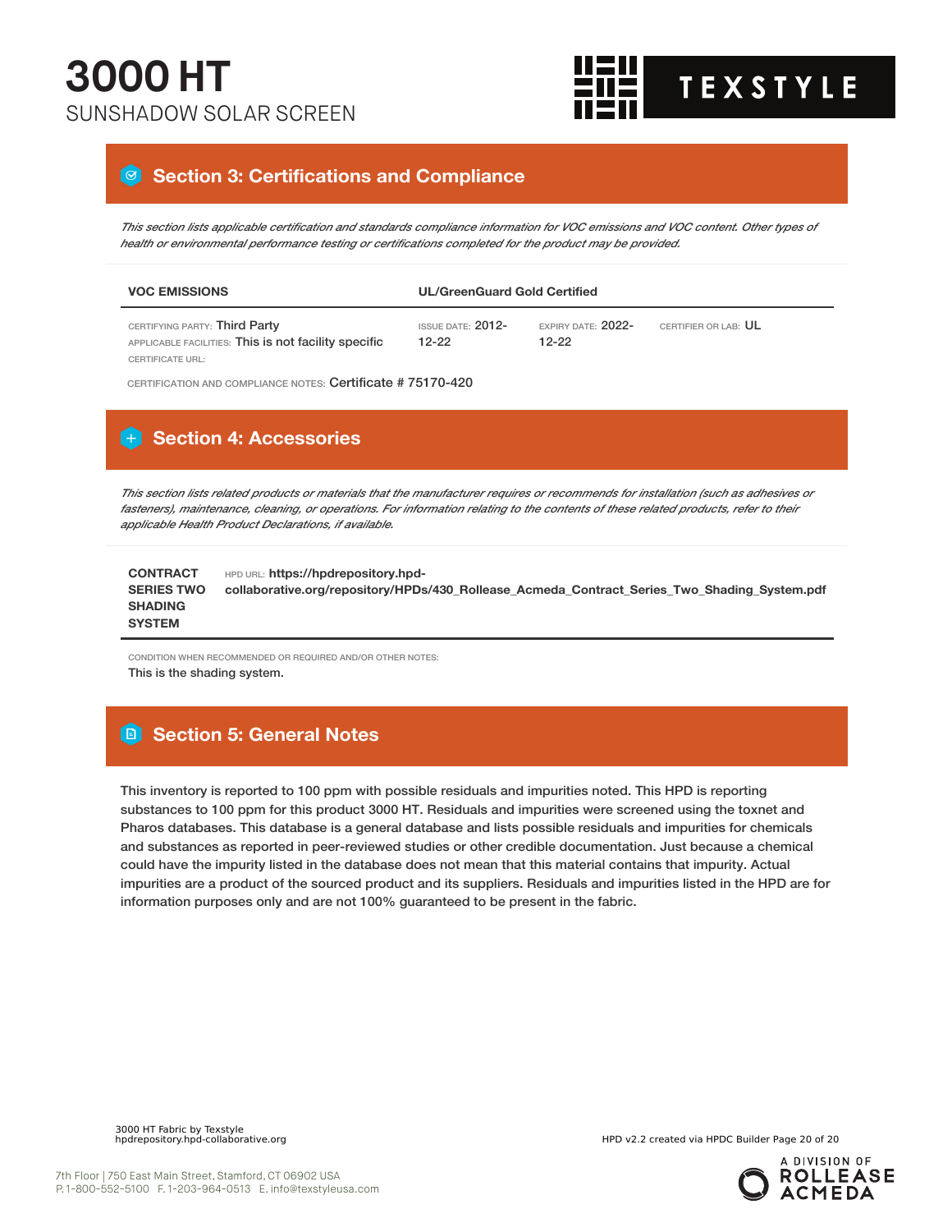

#### **8** Section 3: Certifications and Compliance

This section lists applicable certification and standards compliance information for VOC emissions and VOC content. Other types of *health or environmental performance testing or certifications completed for the product may be provided.*

| <b>VOC EMISSIONS</b>                                                                  | <b>UL/GreenGuard Gold Certified</b> |                               |                      |  |  |
|---------------------------------------------------------------------------------------|-------------------------------------|-------------------------------|----------------------|--|--|
| CERTIFYING PARTY: Third Party<br>APPLICABLE FACILITIES: This is not facility specific | ISSUE DATE: $2012-$<br>$12 - 22$    | EXPIRY DATE: $2022-$<br>12-22 | CERTIFIER OR LAB: UL |  |  |
| CERTIFICATE URL:                                                                      |                                     |                               |                      |  |  |

CERTIFICATION AND COMPLIANCE NOTES: Certificate # 75170-420

#### **Section 4: Accessories**

This section lists related products or materials that the manufacturer requires or recommends for installation (such as adhesives or fasteners), maintenance, cleaning, or operations. For information relating to the contents of these related products, refer to their *applicable Health Product Declarations, if available.*

| <b>CONTRACT</b>   | HPD URL: https://hpdrepository.hpd-                                                          |
|-------------------|----------------------------------------------------------------------------------------------|
| <b>SERIES TWO</b> | collaborative.org/repository/HPDs/430 Rollease Acmeda Contract Series Two Shading System.pdf |
| <b>SHADING</b>    |                                                                                              |
| <b>SYSTEM</b>     |                                                                                              |

CONDITION WHEN RECOMMENDED OR REQUIRED AND/OR OTHER NOTES:

This is the shading system.

#### **Section 5: General Notes**

This inventory is reported to 100 ppm with possible residuals and impurities noted. This HPD is reporting substances to 100 ppm for this product 3000 HT. Residuals and impurities were screened using the toxnet and Pharos databases. This database is a general database and lists possible residuals and impurities for chemicals and substances as reported in peer-reviewed studies or other credible documentation. Just because a chemical could have the impurity listed in the database does not mean that this material contains that impurity. Actual impurities are a product of the sourced product and its suppliers. Residuals and impurities listed in the HPD are for information purposes only and are not 100% guaranteed to be present in the fabric.

HPD v2.2 created via HPDC Builder Page 20 of 20